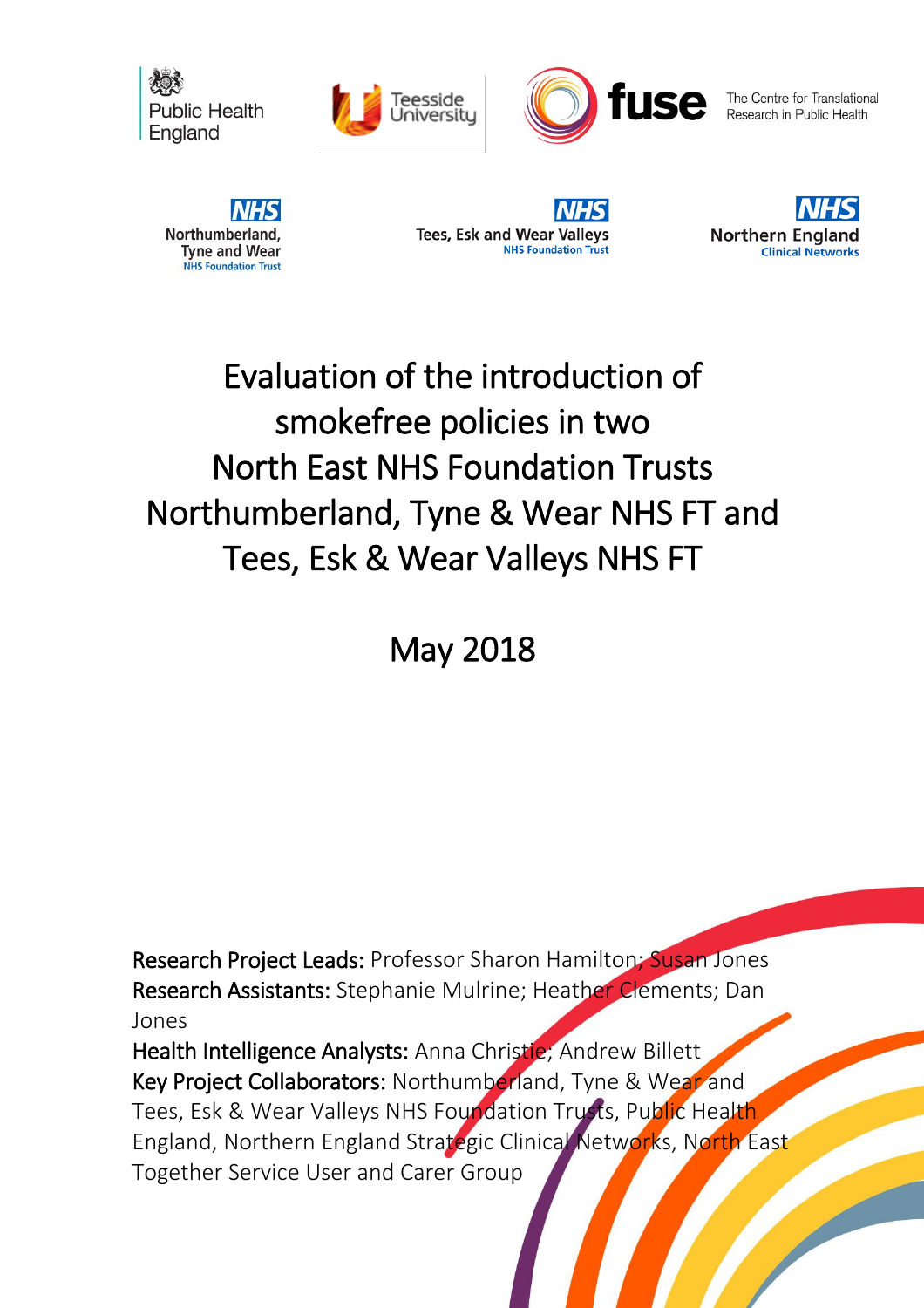





The Centre for Translational Research in Public Health







# Evaluation of the introduction of smokefree policies in two North East NHS Foundation Trusts Northumberland, Tyne & Wear NHS FT and Tees, Esk & Wear Valleys NHS FT

May 2018

Research Project Leads: Professor Sharon Hamilton; Susan Jones Research Assistants: Stephanie Mulrine; Heather Clements; Dan Jones

Health Intelligence Analysts: Anna Christie; Andrew Billett Key Project Collaborators: Northumberland, Tyne & Wear and Tees, Esk & Wear Valleys NHS Foundation Trusts, Public Health England, Northern England Strategic Clinical Networks, North East Together Service User and Carer Group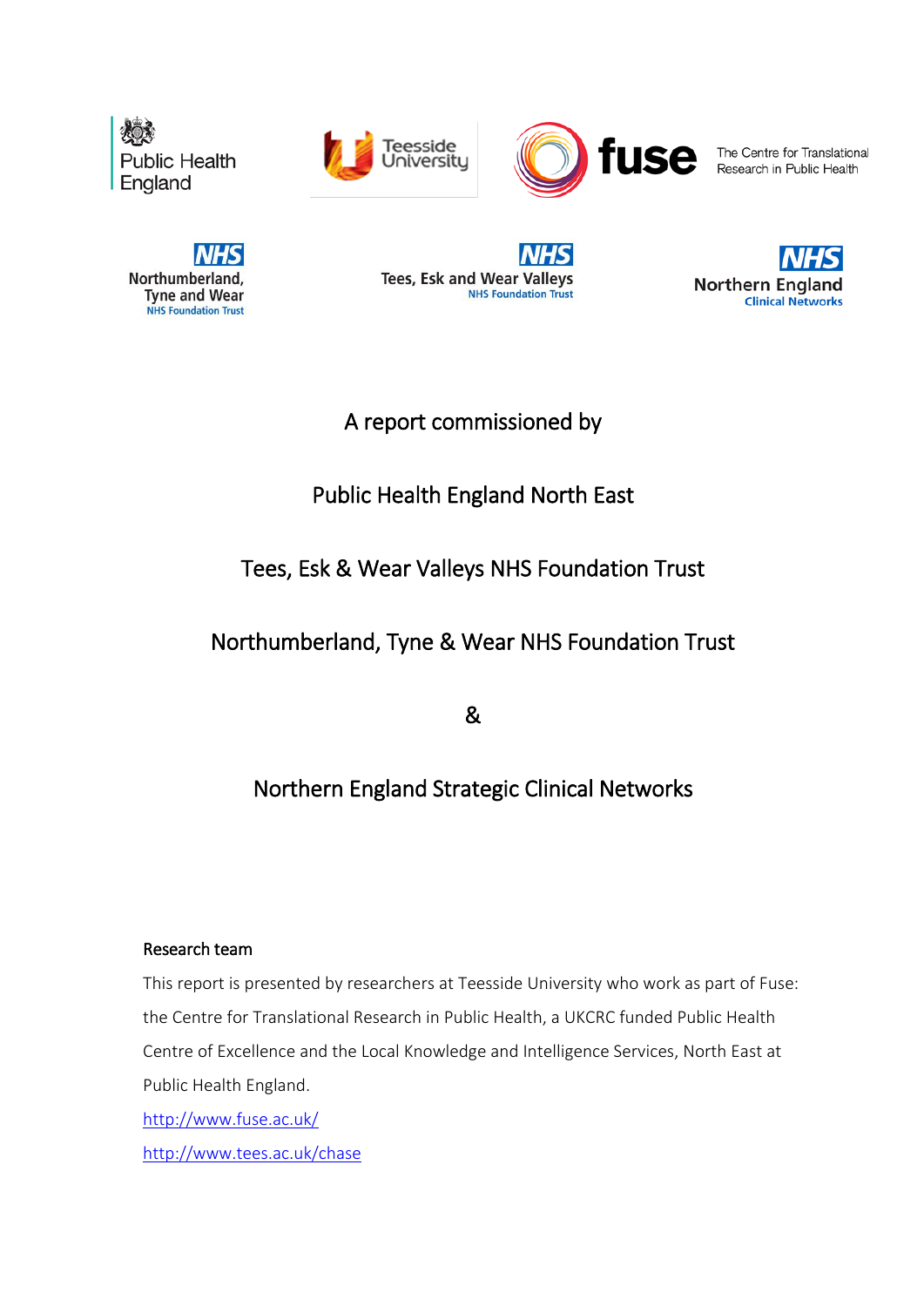





The Centre for Translational Research in Public Health



**Tees, Esk and Wear Valleys NHS Foundation Trust** 



# A report commissioned by

# Public Health England North East

# Tees, Esk & Wear Valleys NHS Foundation Trust

# Northumberland, Tyne & Wear NHS Foundation Trust

&

# Northern England Strategic Clinical Networks

### Research team

This report is presented by researchers at Teesside University who work as part of Fuse: the Centre for Translational Research in Public Health, a UKCRC funded Public Health Centre of Excellence and the Local Knowledge and Intelligence Services, North East at Public Health England. <http://www.fuse.ac.uk/> <http://www.tees.ac.uk/chase>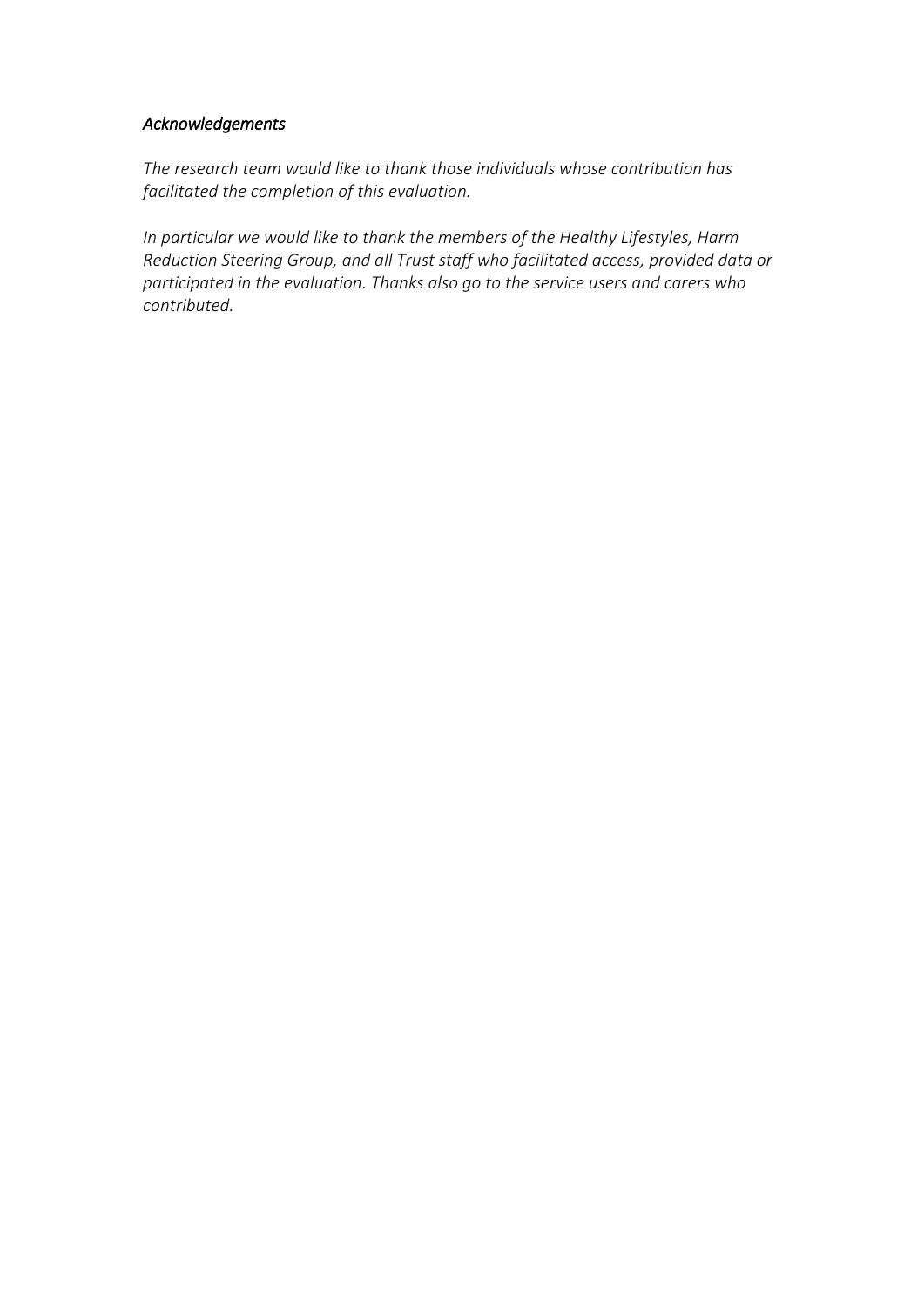### *Acknowledgements*

*The research team would like to thank those individuals whose contribution has facilitated the completion of this evaluation.* 

*In particular we would like to thank the members of the Healthy Lifestyles, Harm Reduction Steering Group, and all Trust staff who facilitated access, provided data or participated in the evaluation. Thanks also go to the service users and carers who contributed.*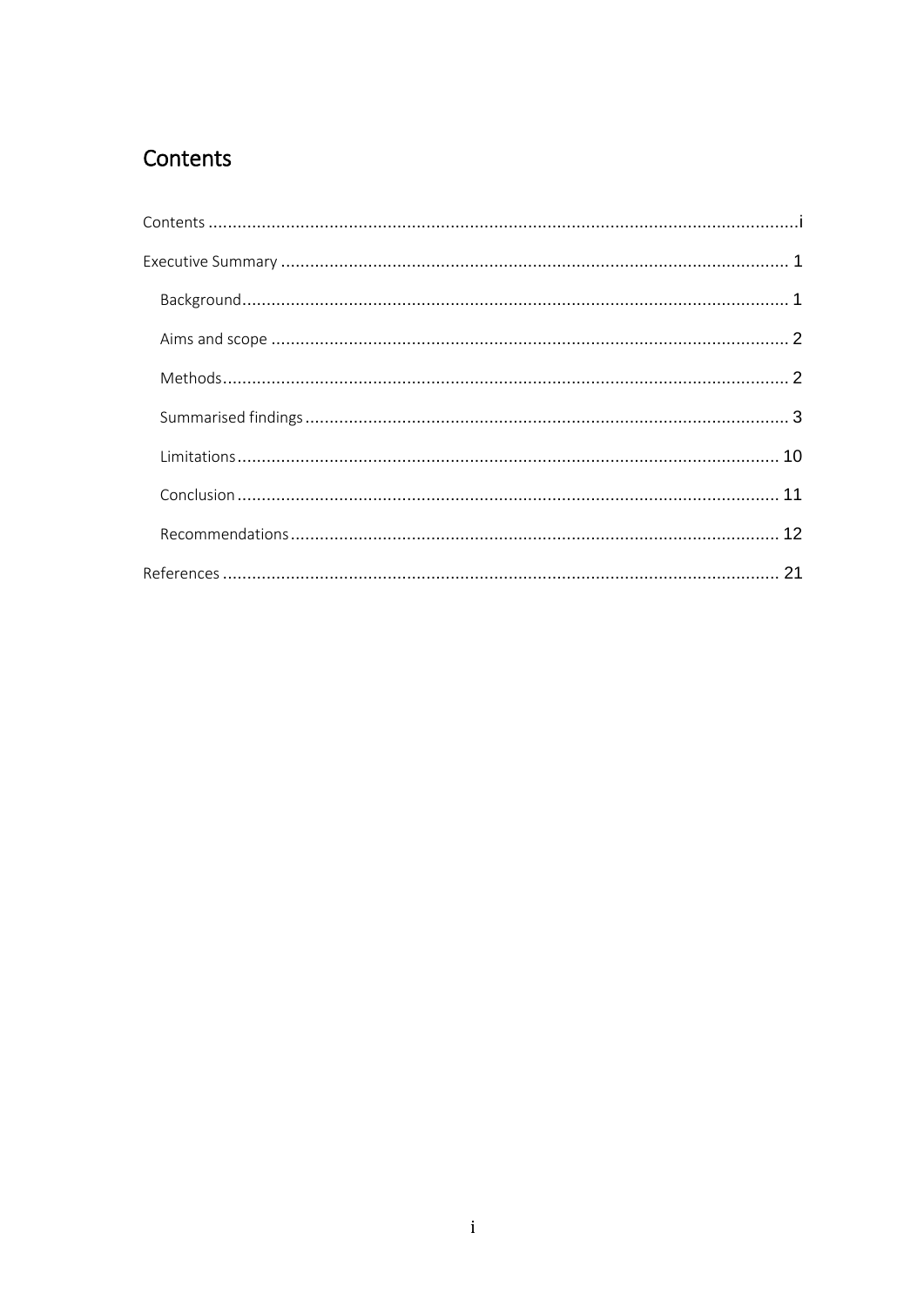# <span id="page-4-0"></span>Contents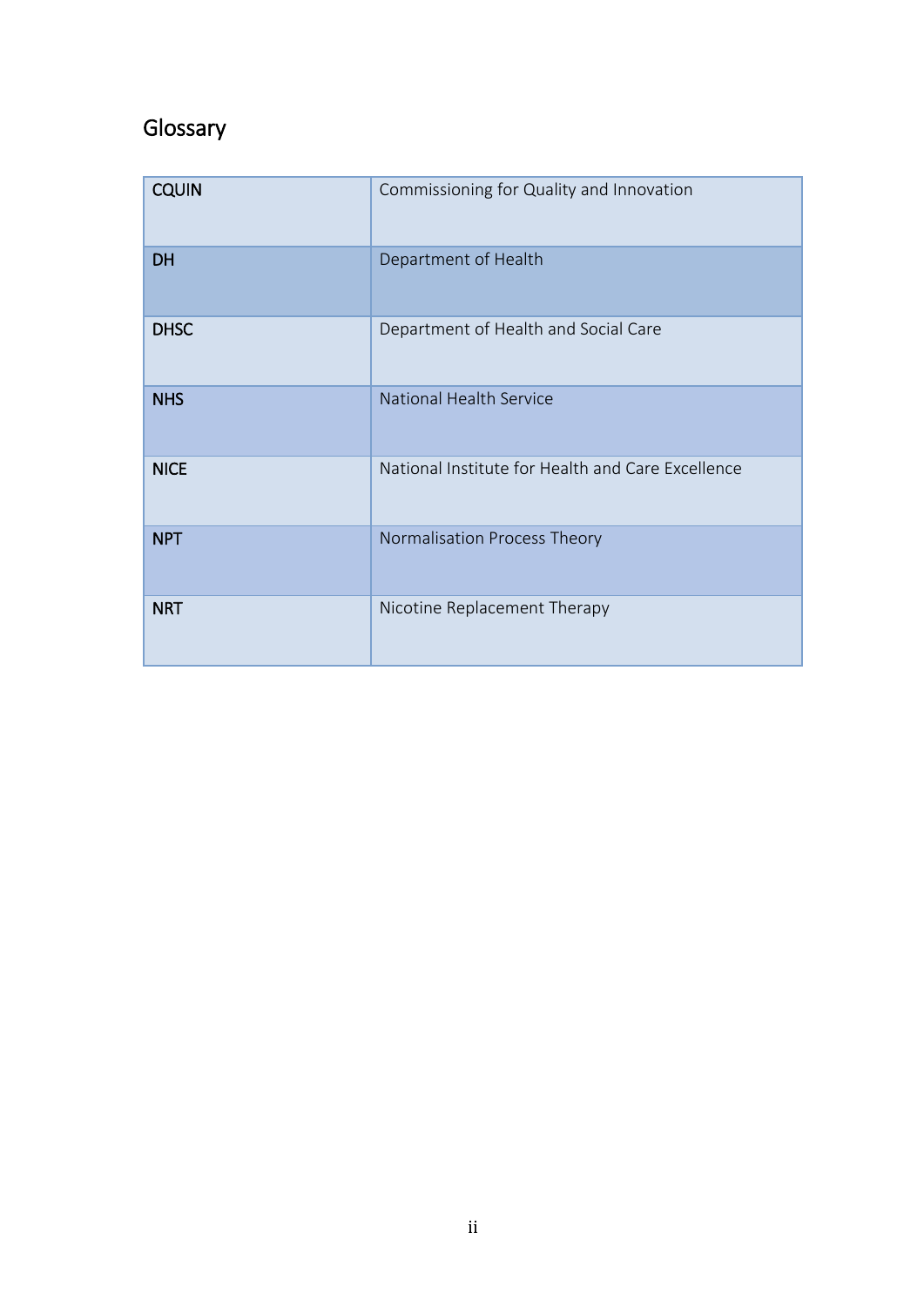# Glossary

| <b>CQUIN</b> | Commissioning for Quality and Innovation          |
|--------------|---------------------------------------------------|
| <b>DH</b>    | Department of Health                              |
| <b>DHSC</b>  | Department of Health and Social Care              |
| <b>NHS</b>   | National Health Service                           |
| <b>NICE</b>  | National Institute for Health and Care Excellence |
| <b>NPT</b>   | Normalisation Process Theory                      |
| <b>NRT</b>   | Nicotine Replacement Therapy                      |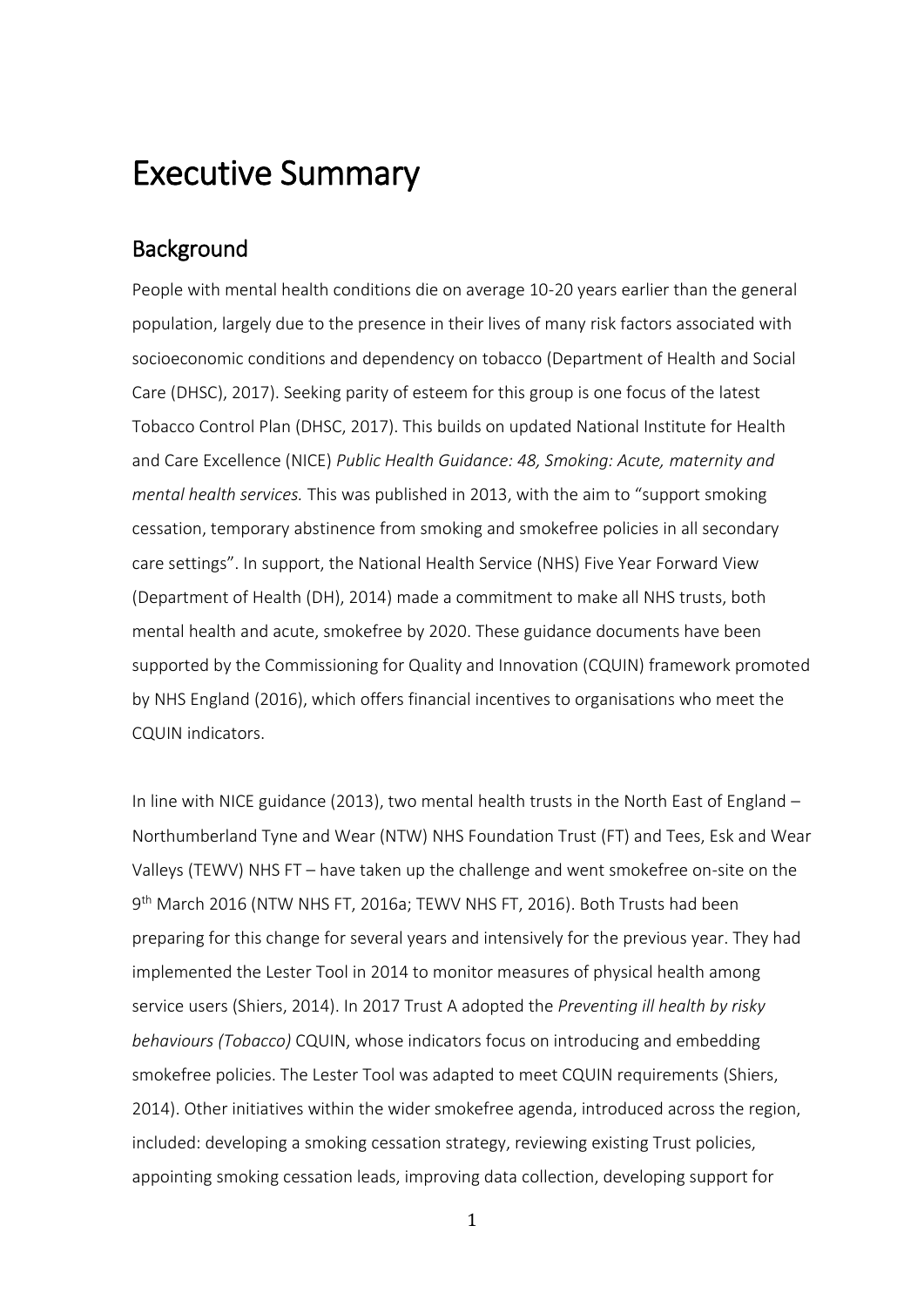# <span id="page-6-0"></span>Executive Summary

## <span id="page-6-1"></span>Background

People with mental health conditions die on average 10-20 years earlier than the general population, largely due to the presence in their lives of many risk factors associated with socioeconomic conditions and dependency on tobacco (Department of Health and Social Care (DHSC), 2017). Seeking parity of esteem for this group is one focus of the latest Tobacco Control Plan (DHSC, 2017). This builds on updated National Institute for Health and Care Excellence (NICE) *Public Health Guidance: 48, Smoking: Acute, maternity and mental health services.* This was published in 2013, with the aim to "support smoking cessation, temporary abstinence from smoking and smokefree policies in all secondary care settings". In support, the National Health Service (NHS) Five Year Forward View (Department of Health (DH), 2014) made a commitment to make all NHS trusts, both mental health and acute, smokefree by 2020. These guidance documents have been supported by the Commissioning for Quality and Innovation (CQUIN) framework promoted by NHS England (2016), which offers financial incentives to organisations who meet the CQUIN indicators.

In line with NICE guidance (2013), two mental health trusts in the North East of England – Northumberland Tyne and Wear (NTW) NHS Foundation Trust (FT) and Tees, Esk and Wear Valleys (TEWV) NHS FT – have taken up the challenge and went smokefree on-site on the 9 th March 2016 (NTW NHS FT, 2016a; TEWV NHS FT, 2016). Both Trusts had been preparing for this change for several years and intensively for the previous year. They had implemented the Lester Tool in 2014 to monitor measures of physical health among service users (Shiers, 2014). In 2017 Trust A adopted the *Preventing ill health by risky behaviours (Tobacco)* CQUIN, whose indicators focus on introducing and embedding smokefree policies. The Lester Tool was adapted to meet CQUIN requirements (Shiers, 2014). Other initiatives within the wider smokefree agenda, introduced across the region, included: developing a smoking cessation strategy, reviewing existing Trust policies, appointing smoking cessation leads, improving data collection, developing support for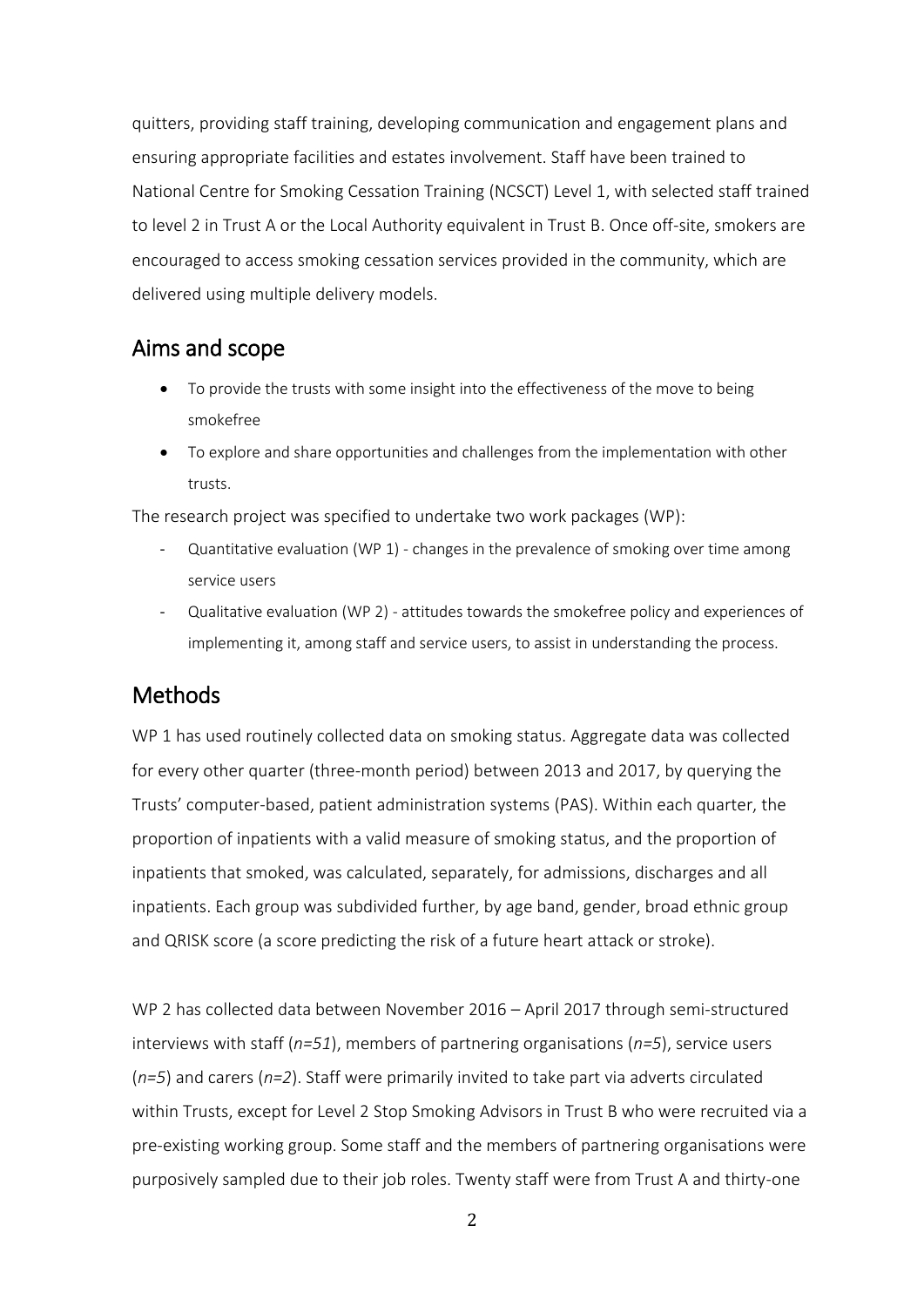quitters, providing staff training, developing communication and engagement plans and ensuring appropriate facilities and estates involvement. Staff have been trained to National Centre for Smoking Cessation Training (NCSCT) Level 1, with selected staff trained to level 2 in Trust A or the Local Authority equivalent in Trust B. Once off-site, smokers are encouraged to access smoking cessation services provided in the community, which are delivered using multiple delivery models.

## <span id="page-7-0"></span>Aims and scope

- To provide the trusts with some insight into the effectiveness of the move to being smokefree
- To explore and share opportunities and challenges from the implementation with other trusts.

The research project was specified to undertake two work packages (WP):

- Quantitative evaluation (WP  $1$ ) changes in the prevalence of smoking over time among service users
- Qualitative evaluation (WP 2) attitudes towards the smokefree policy and experiences of implementing it, among staff and service users, to assist in understanding the process.

## <span id="page-7-1"></span>Methods

WP 1 has used routinely collected data on smoking status. Aggregate data was collected for every other quarter (three-month period) between 2013 and 2017, by querying the Trusts' computer-based, patient administration systems (PAS). Within each quarter, the proportion of inpatients with a valid measure of smoking status, and the proportion of inpatients that smoked, was calculated, separately, for admissions, discharges and all inpatients. Each group was subdivided further, by age band, gender, broad ethnic group and QRISK score (a score predicting the risk of a future heart attack or stroke).

WP 2 has collected data between November 2016 – April 2017 through semi-structured interviews with staff (*n=51*), members of partnering organisations (*n=5*), service users (*n=5*) and carers (*n=2*). Staff were primarily invited to take part via adverts circulated within Trusts, except for Level 2 Stop Smoking Advisors in Trust B who were recruited via a pre-existing working group. Some staff and the members of partnering organisations were purposively sampled due to their job roles. Twenty staff were from Trust A and thirty-one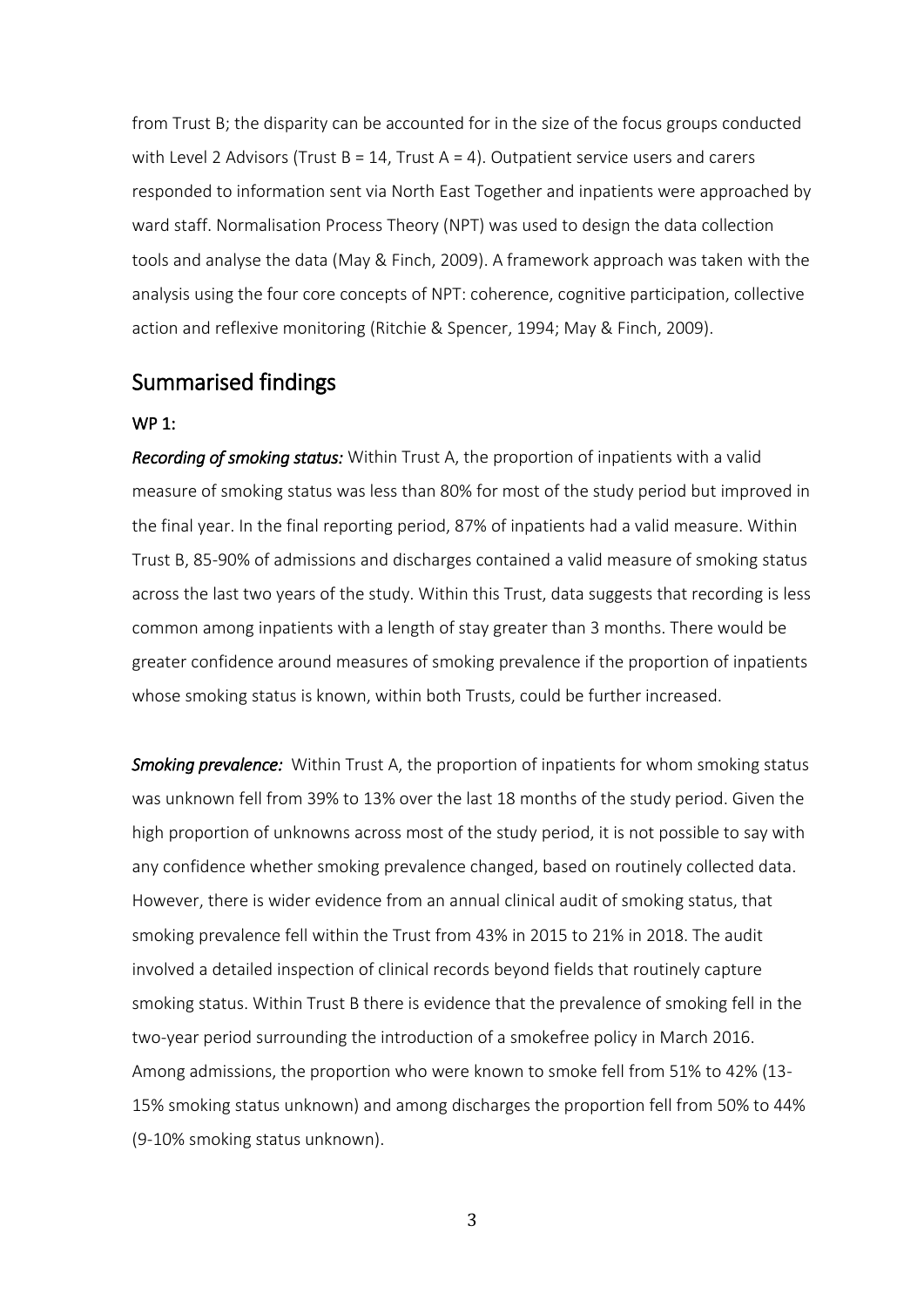from Trust B; the disparity can be accounted for in the size of the focus groups conducted with Level 2 Advisors (Trust  $B = 14$ , Trust  $A = 4$ ). Outpatient service users and carers responded to information sent via North East Together and inpatients were approached by ward staff. Normalisation Process Theory (NPT) was used to design the data collection tools and analyse the data (May & Finch, 2009). A framework approach was taken with the analysis using the four core concepts of NPT: coherence, cognitive participation, collective action and reflexive monitoring (Ritchie & Spencer, 1994; May & Finch, 2009).

## <span id="page-8-0"></span>Summarised findings

#### WP 1:

*Recording of smoking status:* Within Trust A, the proportion of inpatients with a valid measure of smoking status was less than 80% for most of the study period but improved in the final year. In the final reporting period, 87% of inpatients had a valid measure. Within Trust B, 85-90% of admissions and discharges contained a valid measure of smoking status across the last two years of the study. Within this Trust, data suggests that recording is less common among inpatients with a length of stay greater than 3 months. There would be greater confidence around measures of smoking prevalence if the proportion of inpatients whose smoking status is known, within both Trusts, could be further increased.

*Smoking prevalence:* Within Trust A, the proportion of inpatients for whom smoking status was unknown fell from 39% to 13% over the last 18 months of the study period. Given the high proportion of unknowns across most of the study period, it is not possible to say with any confidence whether smoking prevalence changed, based on routinely collected data. However, there is wider evidence from an annual clinical audit of smoking status, that smoking prevalence fell within the Trust from 43% in 2015 to 21% in 2018. The audit involved a detailed inspection of clinical records beyond fields that routinely capture smoking status. Within Trust B there is evidence that the prevalence of smoking fell in the two-year period surrounding the introduction of a smokefree policy in March 2016. Among admissions, the proportion who were known to smoke fell from 51% to 42% (13- 15% smoking status unknown) and among discharges the proportion fell from 50% to 44% (9-10% smoking status unknown).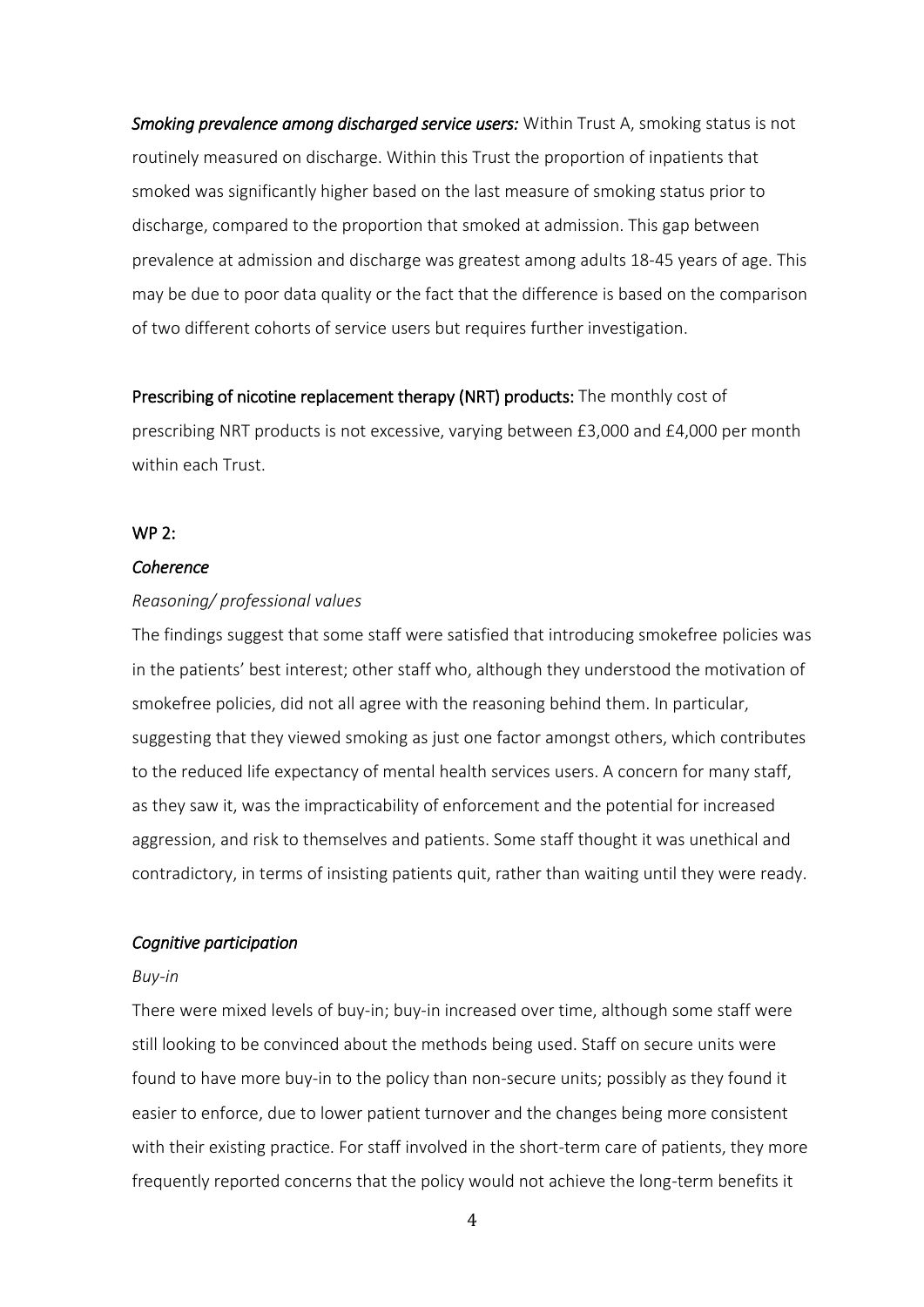*Smoking prevalence among discharged service users:* Within Trust A, smoking status is not routinely measured on discharge. Within this Trust the proportion of inpatients that smoked was significantly higher based on the last measure of smoking status prior to discharge, compared to the proportion that smoked at admission. This gap between prevalence at admission and discharge was greatest among adults 18-45 years of age. This may be due to poor data quality or the fact that the difference is based on the comparison of two different cohorts of service users but requires further investigation.

Prescribing of nicotine replacement therapy (NRT) products: The monthly cost of prescribing NRT products is not excessive, varying between £3,000 and £4,000 per month within each Trust.

#### WP 2:

#### *Coherence*

#### *Reasoning/ professional values*

The findings suggest that some staff were satisfied that introducing smokefree policies was in the patients' best interest; other staff who, although they understood the motivation of smokefree policies, did not all agree with the reasoning behind them. In particular, suggesting that they viewed smoking as just one factor amongst others, which contributes to the reduced life expectancy of mental health services users. A concern for many staff, as they saw it, was the impracticability of enforcement and the potential for increased aggression, and risk to themselves and patients. Some staff thought it was unethical and contradictory, in terms of insisting patients quit, rather than waiting until they were ready.

#### *Cognitive participation*

#### *Buy-in*

There were mixed levels of buy-in; buy-in increased over time, although some staff were still looking to be convinced about the methods being used. Staff on secure units were found to have more buy-in to the policy than non-secure units; possibly as they found it easier to enforce, due to lower patient turnover and the changes being more consistent with their existing practice. For staff involved in the short-term care of patients, they more frequently reported concerns that the policy would not achieve the long-term benefits it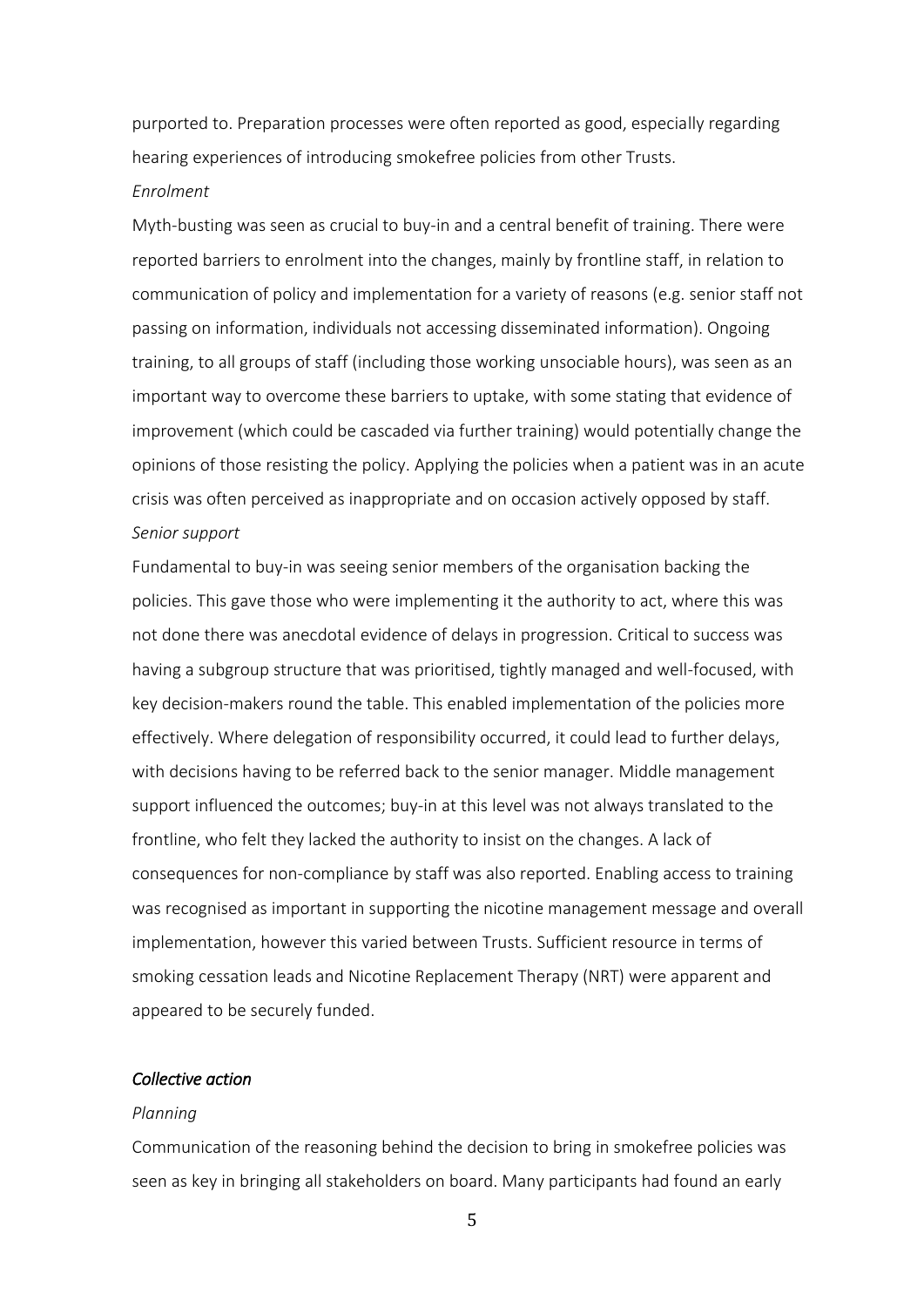purported to. Preparation processes were often reported as good, especially regarding hearing experiences of introducing smokefree policies from other Trusts.

#### *Enrolment*

Myth-busting was seen as crucial to buy-in and a central benefit of training. There were reported barriers to enrolment into the changes, mainly by frontline staff, in relation to communication of policy and implementation for a variety of reasons (e.g. senior staff not passing on information, individuals not accessing disseminated information). Ongoing training, to all groups of staff (including those working unsociable hours), was seen as an important way to overcome these barriers to uptake, with some stating that evidence of improvement (which could be cascaded via further training) would potentially change the opinions of those resisting the policy. Applying the policies when a patient was in an acute crisis was often perceived as inappropriate and on occasion actively opposed by staff. *Senior support*

Fundamental to buy-in was seeing senior members of the organisation backing the policies. This gave those who were implementing it the authority to act, where this was not done there was anecdotal evidence of delays in progression. Critical to success was having a subgroup structure that was prioritised, tightly managed and well-focused, with key decision-makers round the table. This enabled implementation of the policies more effectively. Where delegation of responsibility occurred, it could lead to further delays, with decisions having to be referred back to the senior manager. Middle management support influenced the outcomes; buy-in at this level was not always translated to the frontline, who felt they lacked the authority to insist on the changes. A lack of consequences for non-compliance by staff was also reported. Enabling access to training was recognised as important in supporting the nicotine management message and overall implementation, however this varied between Trusts. Sufficient resource in terms of smoking cessation leads and Nicotine Replacement Therapy (NRT) were apparent and appeared to be securely funded.

#### *Collective action*

#### *Planning*

Communication of the reasoning behind the decision to bring in smokefree policies was seen as key in bringing all stakeholders on board. Many participants had found an early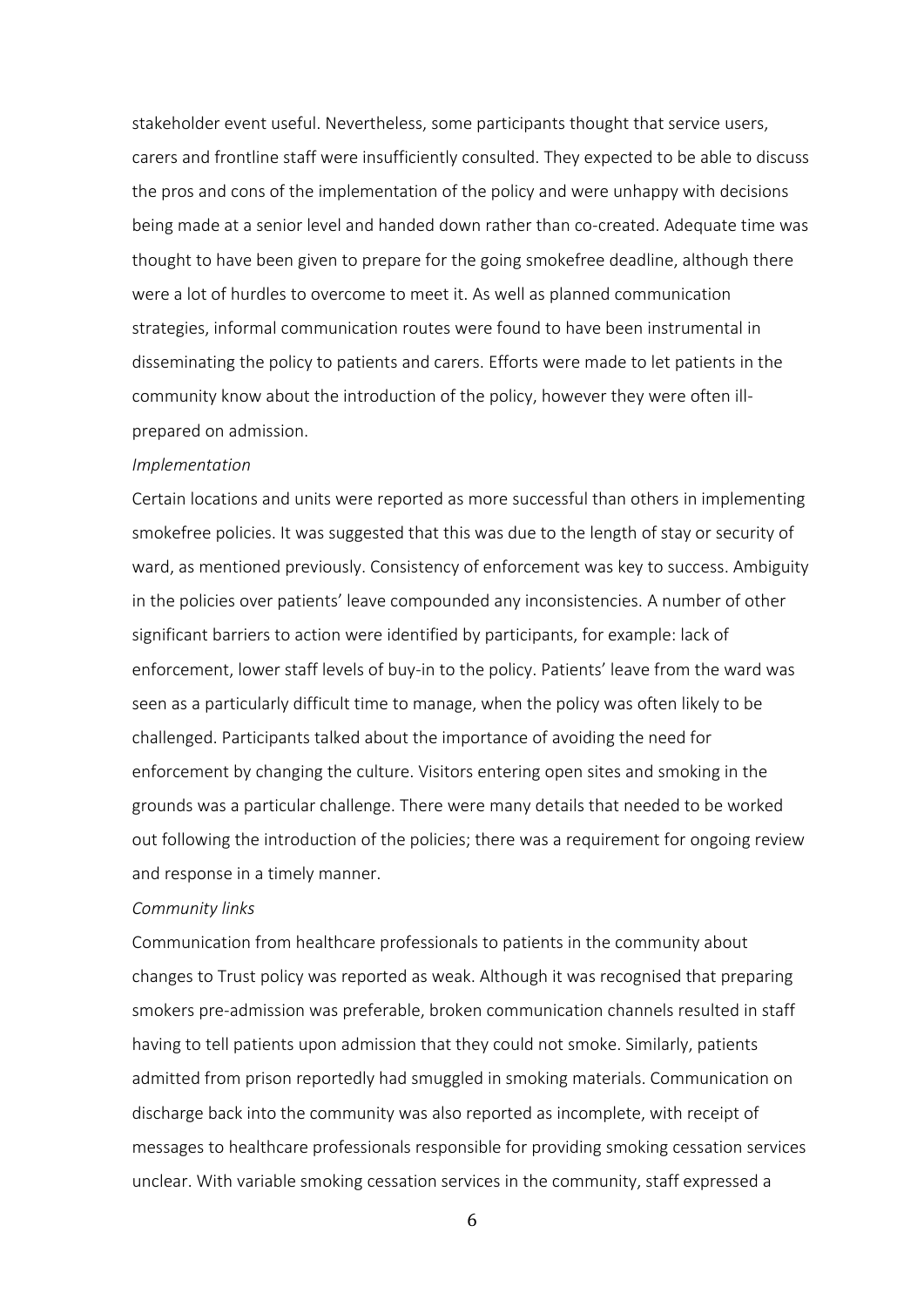stakeholder event useful. Nevertheless, some participants thought that service users, carers and frontline staff were insufficiently consulted. They expected to be able to discuss the pros and cons of the implementation of the policy and were unhappy with decisions being made at a senior level and handed down rather than co-created. Adequate time was thought to have been given to prepare for the going smokefree deadline, although there were a lot of hurdles to overcome to meet it. As well as planned communication strategies, informal communication routes were found to have been instrumental in disseminating the policy to patients and carers. Efforts were made to let patients in the community know about the introduction of the policy, however they were often illprepared on admission.

#### *Implementation*

Certain locations and units were reported as more successful than others in implementing smokefree policies. It was suggested that this was due to the length of stay or security of ward, as mentioned previously. Consistency of enforcement was key to success. Ambiguity in the policies over patients' leave compounded any inconsistencies. A number of other significant barriers to action were identified by participants, for example: lack of enforcement, lower staff levels of buy-in to the policy. Patients' leave from the ward was seen as a particularly difficult time to manage, when the policy was often likely to be challenged. Participants talked about the importance of avoiding the need for enforcement by changing the culture. Visitors entering open sites and smoking in the grounds was a particular challenge. There were many details that needed to be worked out following the introduction of the policies; there was a requirement for ongoing review and response in a timely manner.

#### *Community links*

Communication from healthcare professionals to patients in the community about changes to Trust policy was reported as weak. Although it was recognised that preparing smokers pre-admission was preferable, broken communication channels resulted in staff having to tell patients upon admission that they could not smoke. Similarly, patients admitted from prison reportedly had smuggled in smoking materials. Communication on discharge back into the community was also reported as incomplete, with receipt of messages to healthcare professionals responsible for providing smoking cessation services unclear. With variable smoking cessation services in the community, staff expressed a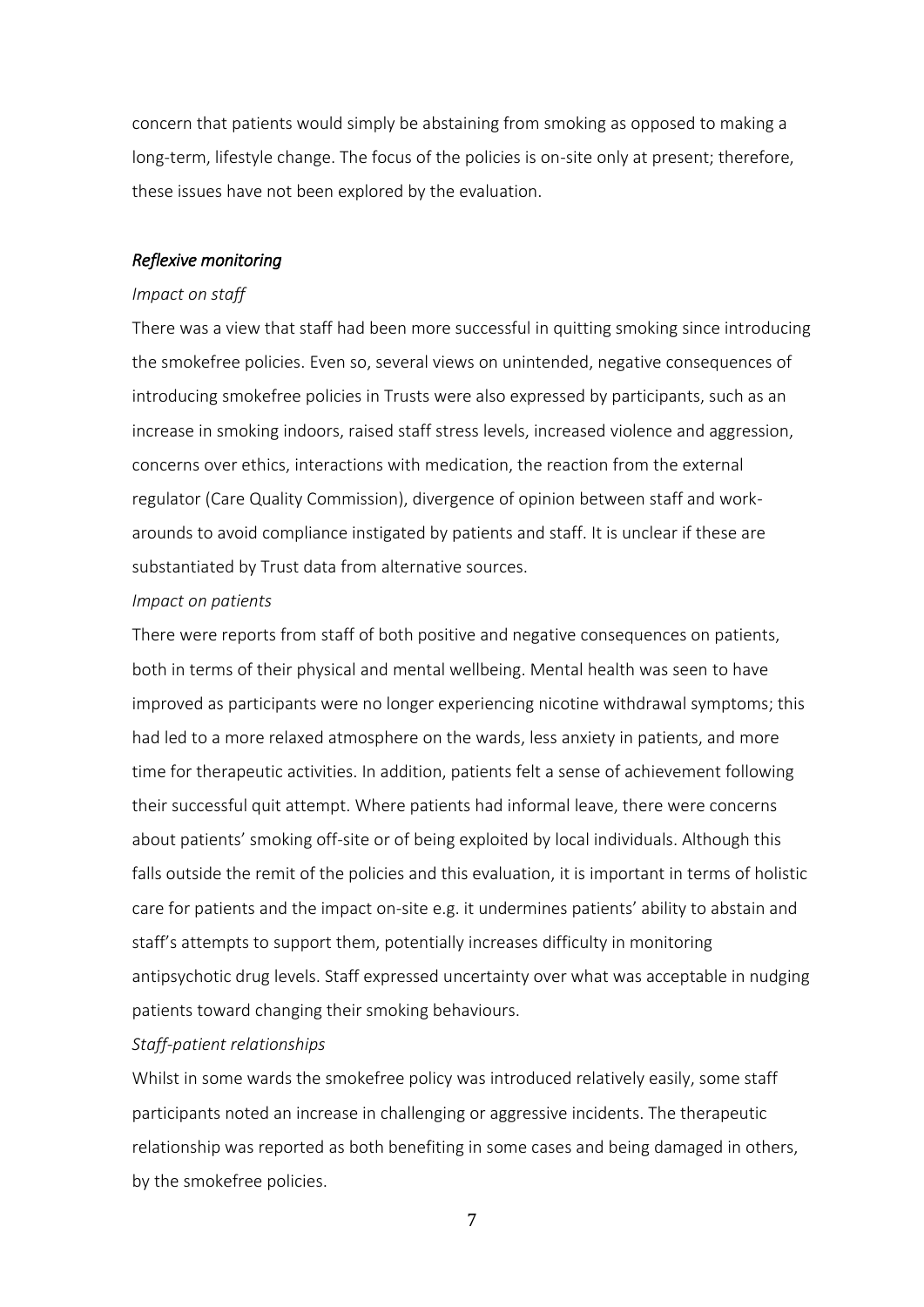concern that patients would simply be abstaining from smoking as opposed to making a long-term, lifestyle change. The focus of the policies is on-site only at present; therefore, these issues have not been explored by the evaluation.

#### *Reflexive monitoring*

#### *Impact on staff*

There was a view that staff had been more successful in quitting smoking since introducing the smokefree policies. Even so, several views on unintended, negative consequences of introducing smokefree policies in Trusts were also expressed by participants, such as an increase in smoking indoors, raised staff stress levels, increased violence and aggression, concerns over ethics, interactions with medication, the reaction from the external regulator (Care Quality Commission), divergence of opinion between staff and workarounds to avoid compliance instigated by patients and staff. It is unclear if these are substantiated by Trust data from alternative sources.

#### *Impact on patients*

There were reports from staff of both positive and negative consequences on patients, both in terms of their physical and mental wellbeing. Mental health was seen to have improved as participants were no longer experiencing nicotine withdrawal symptoms; this had led to a more relaxed atmosphere on the wards, less anxiety in patients, and more time for therapeutic activities. In addition, patients felt a sense of achievement following their successful quit attempt. Where patients had informal leave, there were concerns about patients' smoking off-site or of being exploited by local individuals. Although this falls outside the remit of the policies and this evaluation, it is important in terms of holistic care for patients and the impact on-site e.g. it undermines patients' ability to abstain and staff's attempts to support them, potentially increases difficulty in monitoring antipsychotic drug levels. Staff expressed uncertainty over what was acceptable in nudging patients toward changing their smoking behaviours.

#### *Staff-patient relationships*

Whilst in some wards the smokefree policy was introduced relatively easily, some staff participants noted an increase in challenging or aggressive incidents. The therapeutic relationship was reported as both benefiting in some cases and being damaged in others, by the smokefree policies.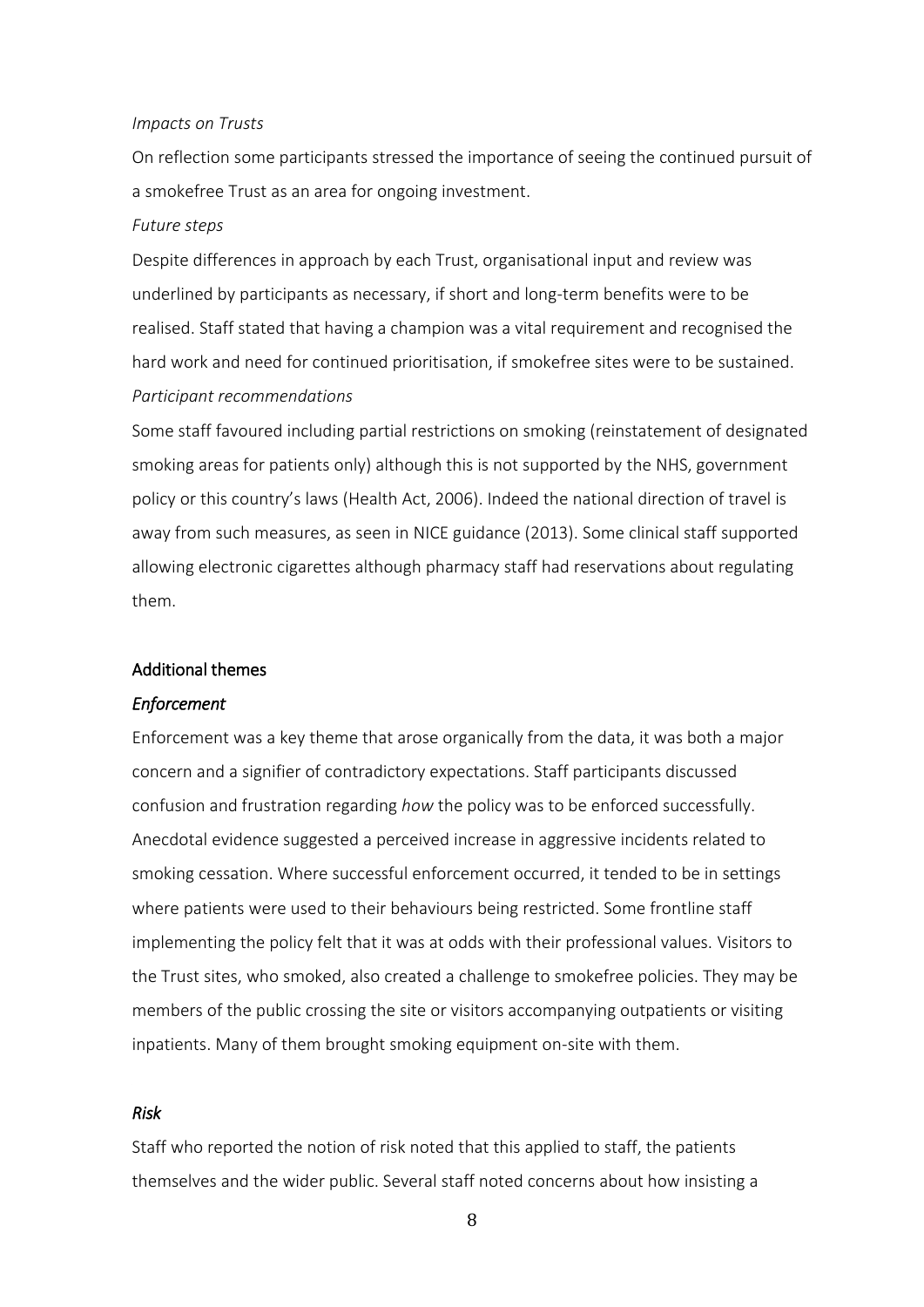#### *Impacts on Trusts*

On reflection some participants stressed the importance of seeing the continued pursuit of a smokefree Trust as an area for ongoing investment.

#### *Future steps*

Despite differences in approach by each Trust, organisational input and review was underlined by participants as necessary, if short and long-term benefits were to be realised. Staff stated that having a champion was a vital requirement and recognised the hard work and need for continued prioritisation, if smokefree sites were to be sustained. *Participant recommendations*

Some staff favoured including partial restrictions on smoking (reinstatement of designated smoking areas for patients only) although this is not supported by the NHS, government policy or this country's laws (Health Act, 2006). Indeed the national direction of travel is away from such measures, as seen in NICE guidance (2013). Some clinical staff supported allowing electronic cigarettes although pharmacy staff had reservations about regulating them.

#### Additional themes

#### *Enforcement*

Enforcement was a key theme that arose organically from the data, it was both a major concern and a signifier of contradictory expectations. Staff participants discussed confusion and frustration regarding *how* the policy was to be enforced successfully. Anecdotal evidence suggested a perceived increase in aggressive incidents related to smoking cessation. Where successful enforcement occurred, it tended to be in settings where patients were used to their behaviours being restricted. Some frontline staff implementing the policy felt that it was at odds with their professional values. Visitors to the Trust sites, who smoked, also created a challenge to smokefree policies. They may be members of the public crossing the site or visitors accompanying outpatients or visiting inpatients. Many of them brought smoking equipment on-site with them.

#### *Risk*

Staff who reported the notion of risk noted that this applied to staff, the patients themselves and the wider public. Several staff noted concerns about how insisting a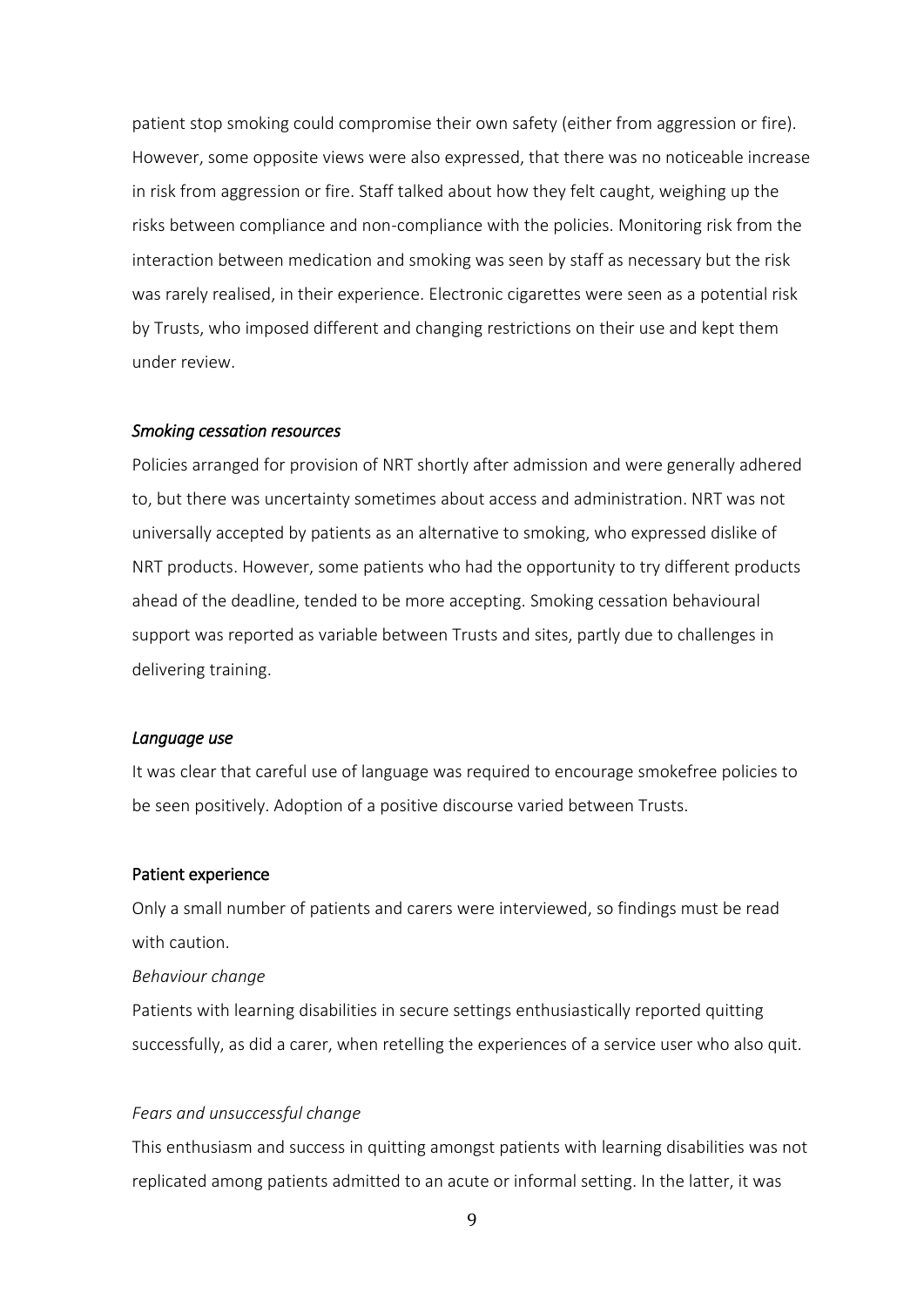patient stop smoking could compromise their own safety (either from aggression or fire). However, some opposite views were also expressed, that there was no noticeable increase in risk from aggression or fire. Staff talked about how they felt caught, weighing up the risks between compliance and non-compliance with the policies. Monitoring risk from the interaction between medication and smoking was seen by staff as necessary but the risk was rarely realised, in their experience. Electronic cigarettes were seen as a potential risk by Trusts, who imposed different and changing restrictions on their use and kept them under review.

#### *Smoking cessation resources*

Policies arranged for provision of NRT shortly after admission and were generally adhered to, but there was uncertainty sometimes about access and administration. NRT was not universally accepted by patients as an alternative to smoking, who expressed dislike of NRT products. However, some patients who had the opportunity to try different products ahead of the deadline, tended to be more accepting. Smoking cessation behavioural support was reported as variable between Trusts and sites, partly due to challenges in delivering training.

#### *Language use*

It was clear that careful use of language was required to encourage smokefree policies to be seen positively. Adoption of a positive discourse varied between Trusts.

#### Patient experience

Only a small number of patients and carers were interviewed, so findings must be read with caution.

#### *Behaviour change*

Patients with learning disabilities in secure settings enthusiastically reported quitting successfully, as did a carer, when retelling the experiences of a service user who also quit.

#### *Fears and unsuccessful change*

This enthusiasm and success in quitting amongst patients with learning disabilities was not replicated among patients admitted to an acute or informal setting. In the latter, it was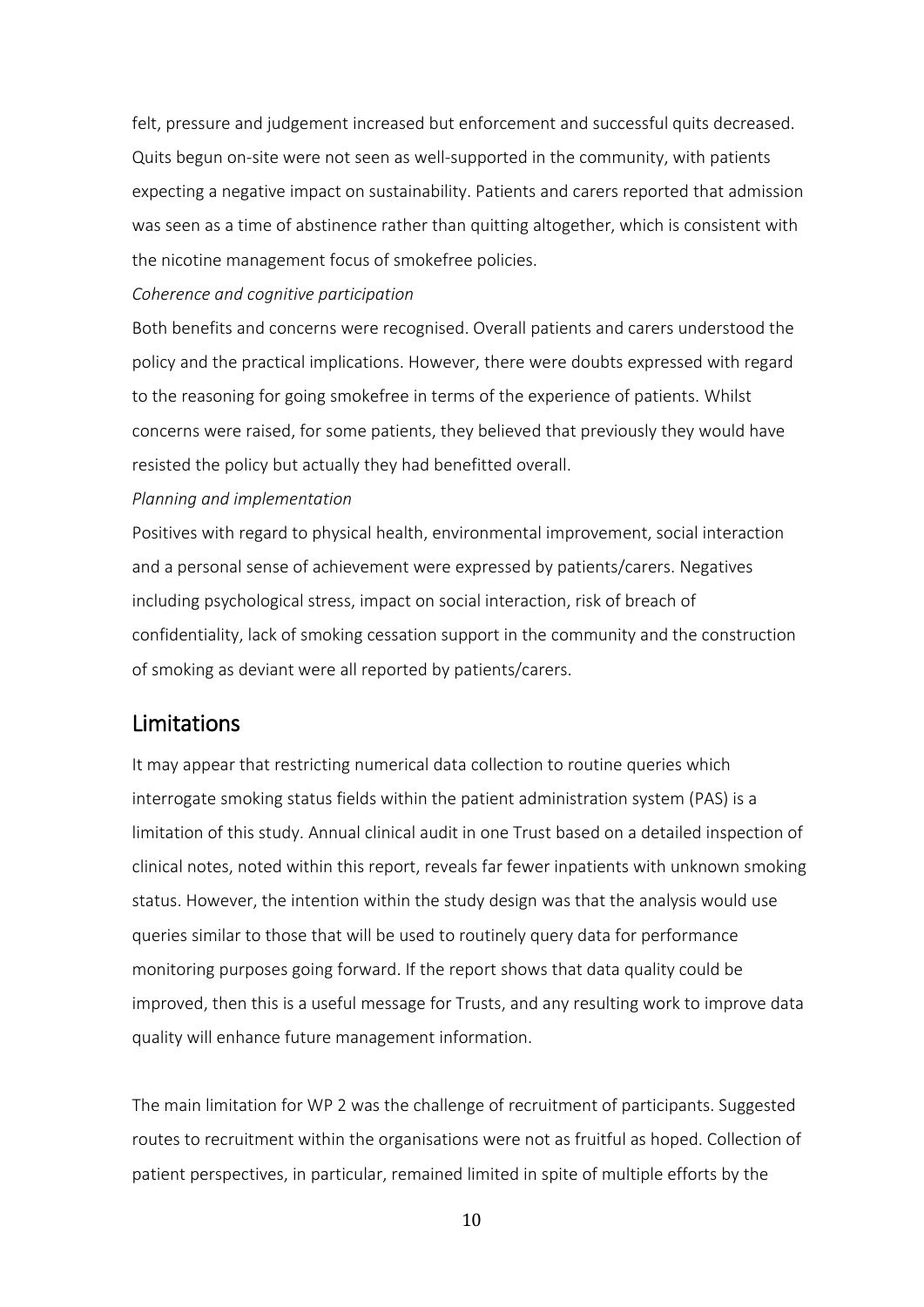felt, pressure and judgement increased but enforcement and successful quits decreased. Quits begun on-site were not seen as well-supported in the community, with patients expecting a negative impact on sustainability. Patients and carers reported that admission was seen as a time of abstinence rather than quitting altogether, which is consistent with the nicotine management focus of smokefree policies.

#### *Coherence and cognitive participation*

Both benefits and concerns were recognised. Overall patients and carers understood the policy and the practical implications. However, there were doubts expressed with regard to the reasoning for going smokefree in terms of the experience of patients. Whilst concerns were raised, for some patients, they believed that previously they would have resisted the policy but actually they had benefitted overall.

#### *Planning and implementation*

Positives with regard to physical health, environmental improvement, social interaction and a personal sense of achievement were expressed by patients/carers. Negatives including psychological stress, impact on social interaction, risk of breach of confidentiality, lack of smoking cessation support in the community and the construction of smoking as deviant were all reported by patients/carers.

### <span id="page-15-0"></span>Limitations

It may appear that restricting numerical data collection to routine queries which interrogate smoking status fields within the patient administration system (PAS) is a limitation of this study. Annual clinical audit in one Trust based on a detailed inspection of clinical notes, noted within this report, reveals far fewer inpatients with unknown smoking status. However, the intention within the study design was that the analysis would use queries similar to those that will be used to routinely query data for performance monitoring purposes going forward. If the report shows that data quality could be improved, then this is a useful message for Trusts, and any resulting work to improve data quality will enhance future management information.

The main limitation for WP 2 was the challenge of recruitment of participants. Suggested routes to recruitment within the organisations were not as fruitful as hoped. Collection of patient perspectives, in particular, remained limited in spite of multiple efforts by the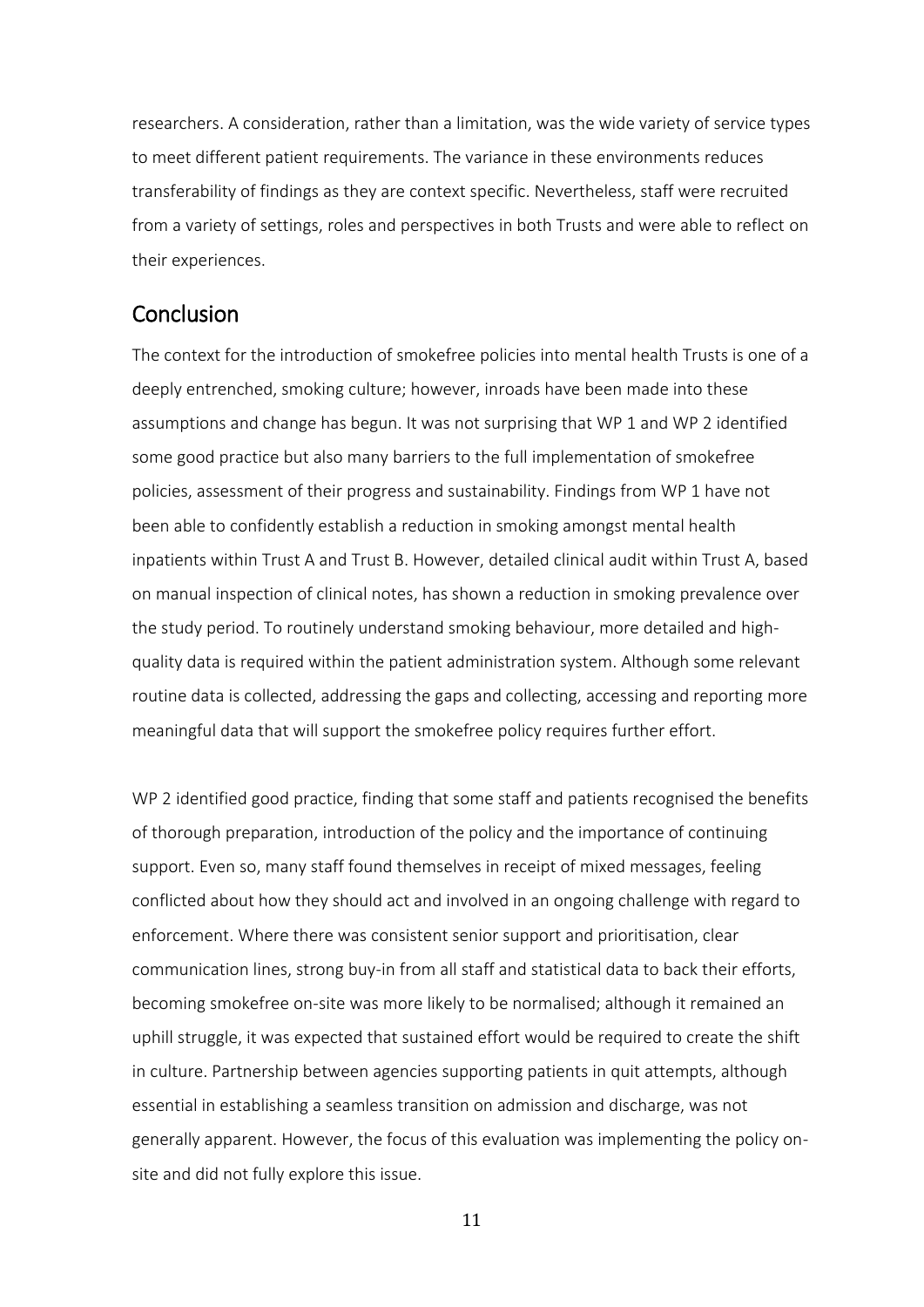researchers. A consideration, rather than a limitation, was the wide variety of service types to meet different patient requirements. The variance in these environments reduces transferability of findings as they are context specific. Nevertheless, staff were recruited from a variety of settings, roles and perspectives in both Trusts and were able to reflect on their experiences.

### <span id="page-16-0"></span>**Conclusion**

The context for the introduction of smokefree policies into mental health Trusts is one of a deeply entrenched, smoking culture; however, inroads have been made into these assumptions and change has begun. It was not surprising that WP 1 and WP 2 identified some good practice but also many barriers to the full implementation of smokefree policies, assessment of their progress and sustainability. Findings from WP 1 have not been able to confidently establish a reduction in smoking amongst mental health inpatients within Trust A and Trust B. However, detailed clinical audit within Trust A, based on manual inspection of clinical notes, has shown a reduction in smoking prevalence over the study period. To routinely understand smoking behaviour, more detailed and highquality data is required within the patient administration system. Although some relevant routine data is collected, addressing the gaps and collecting, accessing and reporting more meaningful data that will support the smokefree policy requires further effort.

WP 2 identified good practice, finding that some staff and patients recognised the benefits of thorough preparation, introduction of the policy and the importance of continuing support. Even so, many staff found themselves in receipt of mixed messages, feeling conflicted about how they should act and involved in an ongoing challenge with regard to enforcement. Where there was consistent senior support and prioritisation, clear communication lines, strong buy-in from all staff and statistical data to back their efforts, becoming smokefree on-site was more likely to be normalised; although it remained an uphill struggle, it was expected that sustained effort would be required to create the shift in culture. Partnership between agencies supporting patients in quit attempts, although essential in establishing a seamless transition on admission and discharge, was not generally apparent. However, the focus of this evaluation was implementing the policy onsite and did not fully explore this issue.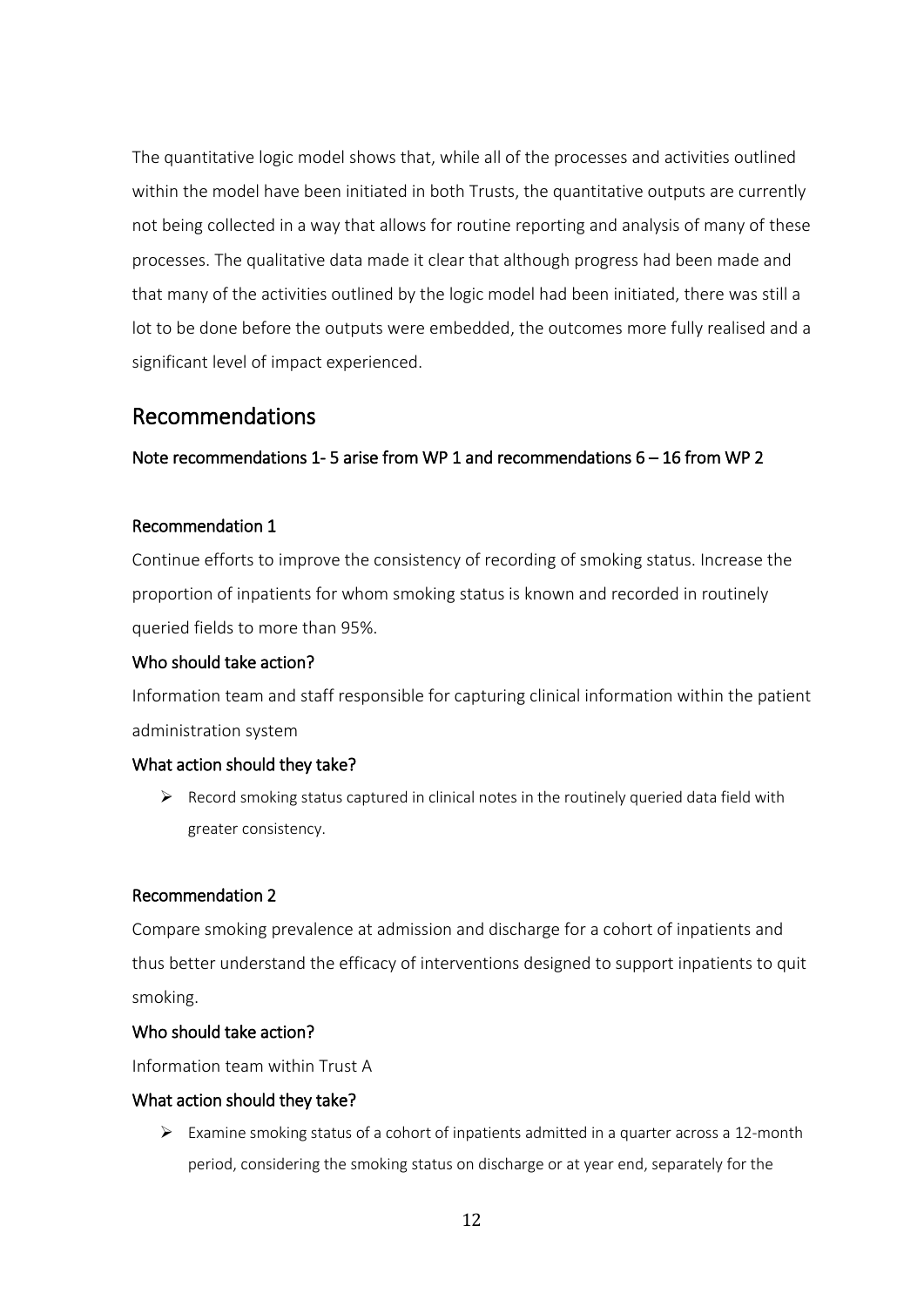The quantitative logic model shows that, while all of the processes and activities outlined within the model have been initiated in both Trusts, the quantitative outputs are currently not being collected in a way that allows for routine reporting and analysis of many of these processes. The qualitative data made it clear that although progress had been made and that many of the activities outlined by the logic model had been initiated, there was still a lot to be done before the outputs were embedded, the outcomes more fully realised and a significant level of impact experienced.

### <span id="page-17-0"></span>Recommendations

#### Note recommendations 1- 5 arise from WP 1 and recommendations 6 – 16 from WP 2

#### Recommendation 1

Continue efforts to improve the consistency of recording of smoking status. Increase the proportion of inpatients for whom smoking status is known and recorded in routinely queried fields to more than 95%.

#### Who should take action?

Information team and staff responsible for capturing clinical information within the patient administration system

#### What action should they take?

➢ Record smoking status captured in clinical notes in the routinely queried data field with greater consistency.

#### Recommendation 2

Compare smoking prevalence at admission and discharge for a cohort of inpatients and thus better understand the efficacy of interventions designed to support inpatients to quit smoking.

#### Who should take action?

Information team within Trust A

#### What action should they take?

 $\triangleright$  Examine smoking status of a cohort of inpatients admitted in a quarter across a 12-month period, considering the smoking status on discharge or at year end, separately for the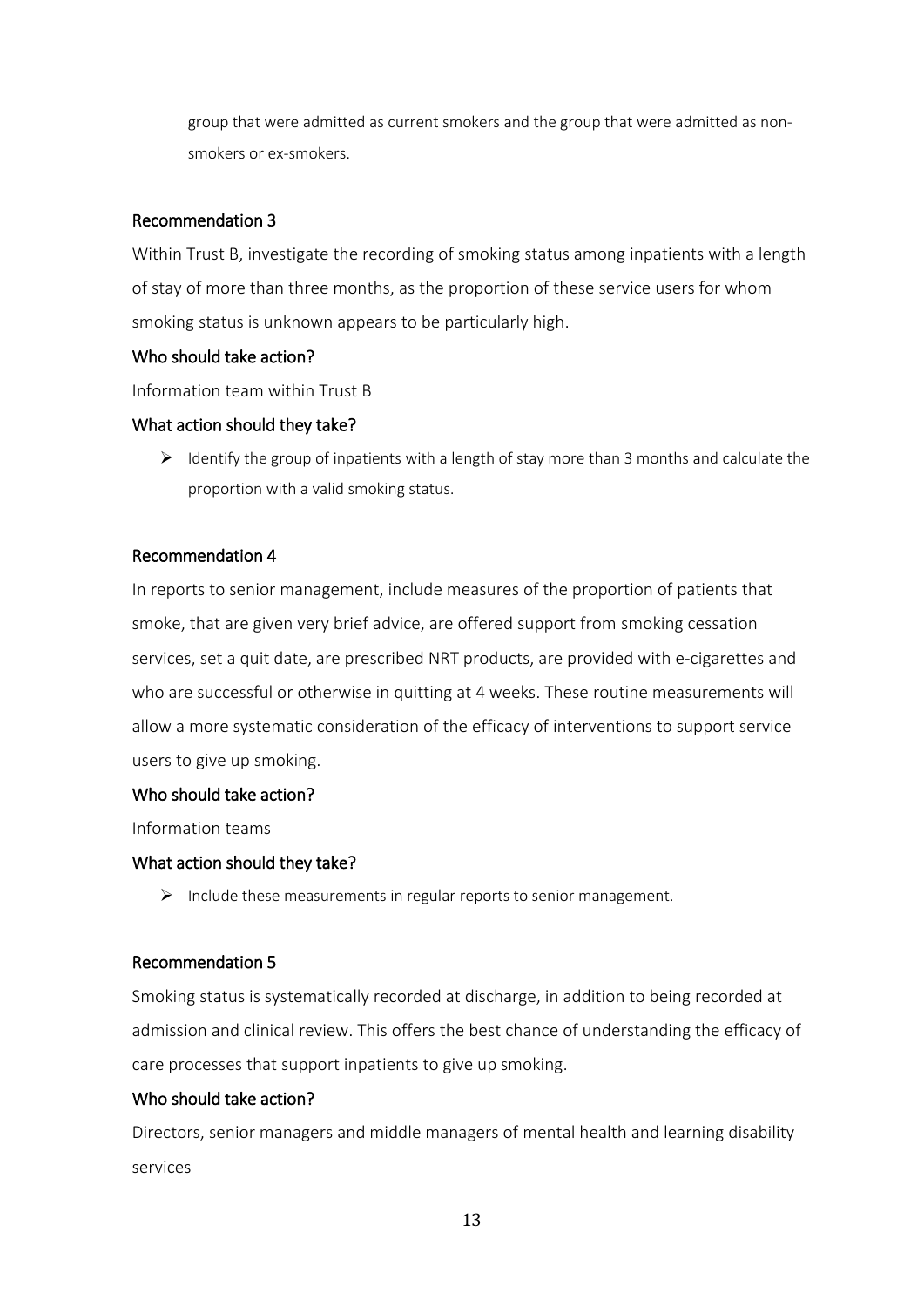group that were admitted as current smokers and the group that were admitted as nonsmokers or ex-smokers.

#### Recommendation 3

Within Trust B, investigate the recording of smoking status among inpatients with a length of stay of more than three months, as the proportion of these service users for whom smoking status is unknown appears to be particularly high.

#### Who should take action?

Information team within Trust B

#### What action should they take?

 $\triangleright$  Identify the group of inpatients with a length of stay more than 3 months and calculate the proportion with a valid smoking status.

#### Recommendation 4

In reports to senior management, include measures of the proportion of patients that smoke, that are given very brief advice, are offered support from smoking cessation services, set a quit date, are prescribed NRT products, are provided with e-cigarettes and who are successful or otherwise in quitting at 4 weeks. These routine measurements will allow a more systematic consideration of the efficacy of interventions to support service users to give up smoking.

#### Who should take action?

Information teams

#### What action should they take?

 $\triangleright$  Include these measurements in regular reports to senior management.

#### Recommendation 5

Smoking status is systematically recorded at discharge, in addition to being recorded at admission and clinical review. This offers the best chance of understanding the efficacy of care processes that support inpatients to give up smoking.

#### Who should take action?

Directors, senior managers and middle managers of mental health and learning disability services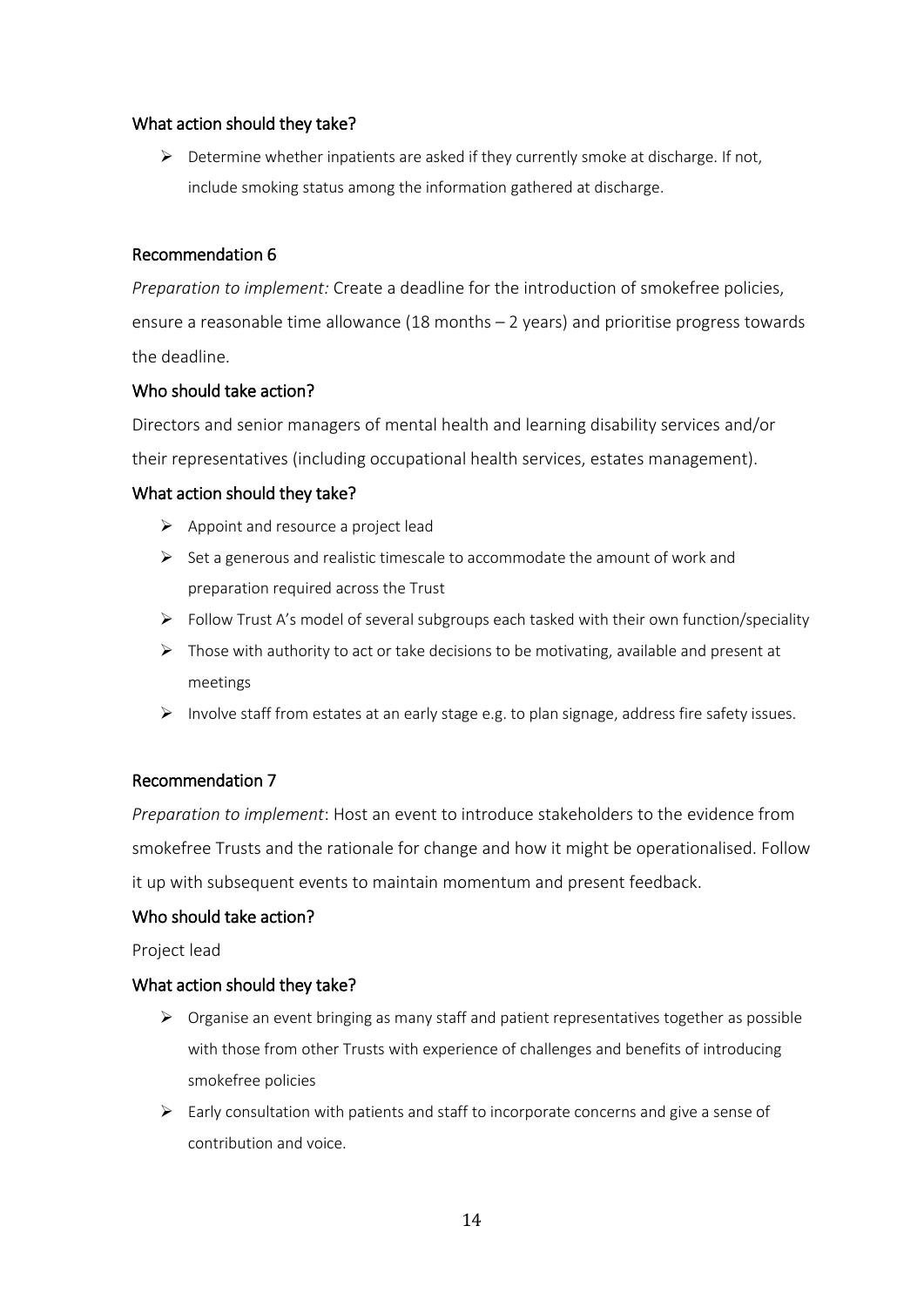#### What action should they take?

 $\triangleright$  Determine whether inpatients are asked if they currently smoke at discharge. If not, include smoking status among the information gathered at discharge.

#### Recommendation 6

*Preparation to implement:* Create a deadline for the introduction of smokefree policies, ensure a reasonable time allowance (18 months – 2 years) and prioritise progress towards the deadline.

#### Who should take action?

Directors and senior managers of mental health and learning disability services and/or their representatives (including occupational health services, estates management).

#### What action should they take?

- ➢ Appoint and resource a project lead
- $\triangleright$  Set a generous and realistic timescale to accommodate the amount of work and preparation required across the Trust
- ➢ Follow Trust A's model of several subgroups each tasked with their own function/speciality
- $\triangleright$  Those with authority to act or take decisions to be motivating, available and present at meetings
- ➢ Involve staff from estates at an early stage e.g. to plan signage, address fire safety issues.

### Recommendation 7

*Preparation to implement*: Host an event to introduce stakeholders to the evidence from smokefree Trusts and the rationale for change and how it might be operationalised. Follow it up with subsequent events to maintain momentum and present feedback.

#### Who should take action?

Project lead

#### What action should they take?

- ➢ Organise an event bringing as many staff and patient representatives together as possible with those from other Trusts with experience of challenges and benefits of introducing smokefree policies
- ➢ Early consultation with patients and staff to incorporate concerns and give a sense of contribution and voice.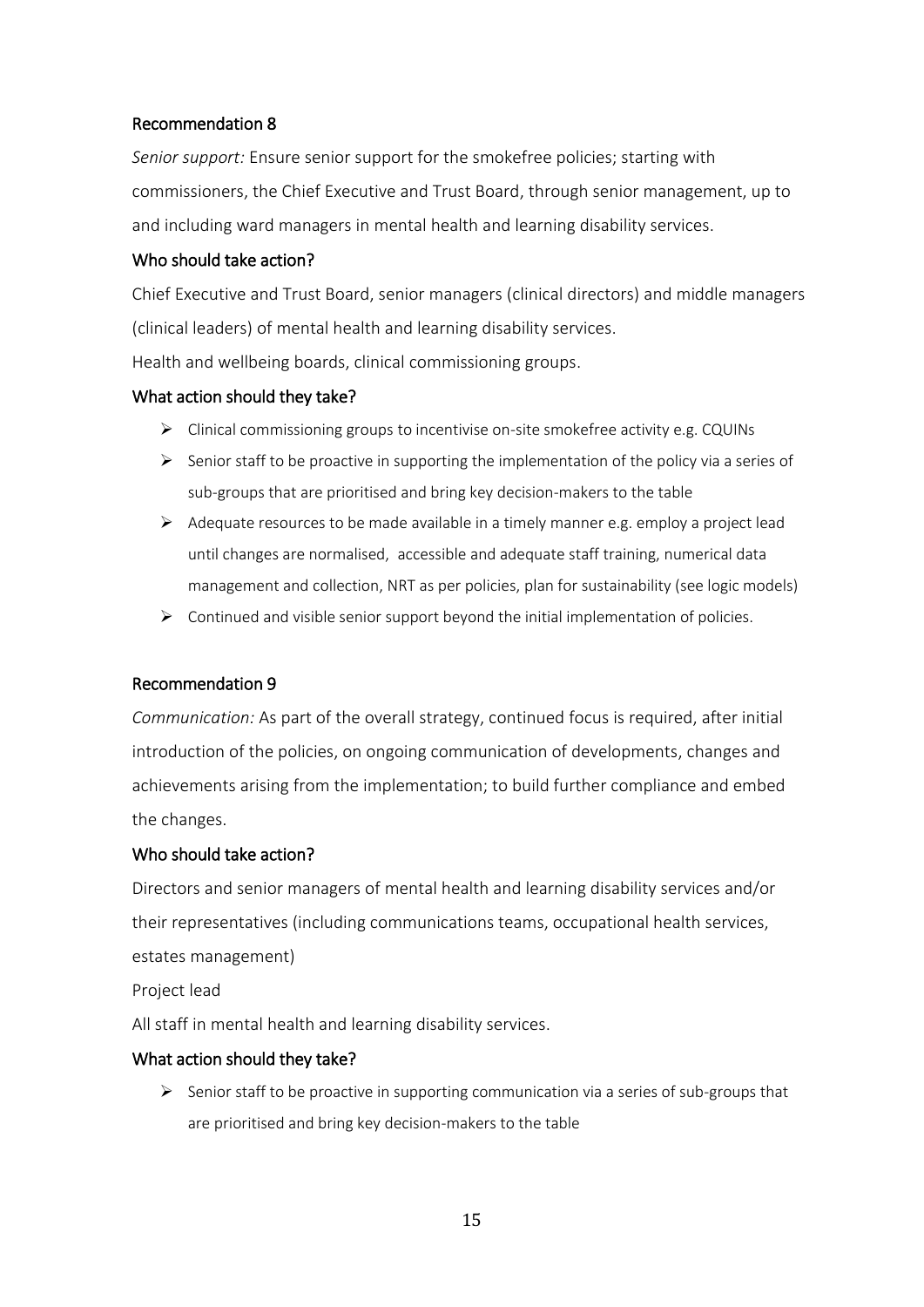#### Recommendation 8

*Senior support:* Ensure senior support for the smokefree policies; starting with commissioners, the Chief Executive and Trust Board, through senior management, up to and including ward managers in mental health and learning disability services.

#### Who should take action?

Chief Executive and Trust Board, senior managers (clinical directors) and middle managers (clinical leaders) of mental health and learning disability services. Health and wellbeing boards, clinical commissioning groups.

#### What action should they take?

- $\triangleright$  Clinical commissioning groups to incentivise on-site smokefree activity e.g. CQUINs
- $\triangleright$  Senior staff to be proactive in supporting the implementation of the policy via a series of sub-groups that are prioritised and bring key decision-makers to the table
- $\triangleright$  Adequate resources to be made available in a timely manner e.g. employ a project lead until changes are normalised, accessible and adequate staff training, numerical data management and collection, NRT as per policies, plan for sustainability (see logic models)
- $\triangleright$  Continued and visible senior support beyond the initial implementation of policies.

#### Recommendation 9

*Communication:* As part of the overall strategy, continued focus is required, after initial introduction of the policies, on ongoing communication of developments, changes and achievements arising from the implementation; to build further compliance and embed the changes.

#### Who should take action?

Directors and senior managers of mental health and learning disability services and/or their representatives (including communications teams, occupational health services, estates management)

Project lead

All staff in mental health and learning disability services.

#### What action should they take?

 $\triangleright$  Senior staff to be proactive in supporting communication via a series of sub-groups that are prioritised and bring key decision-makers to the table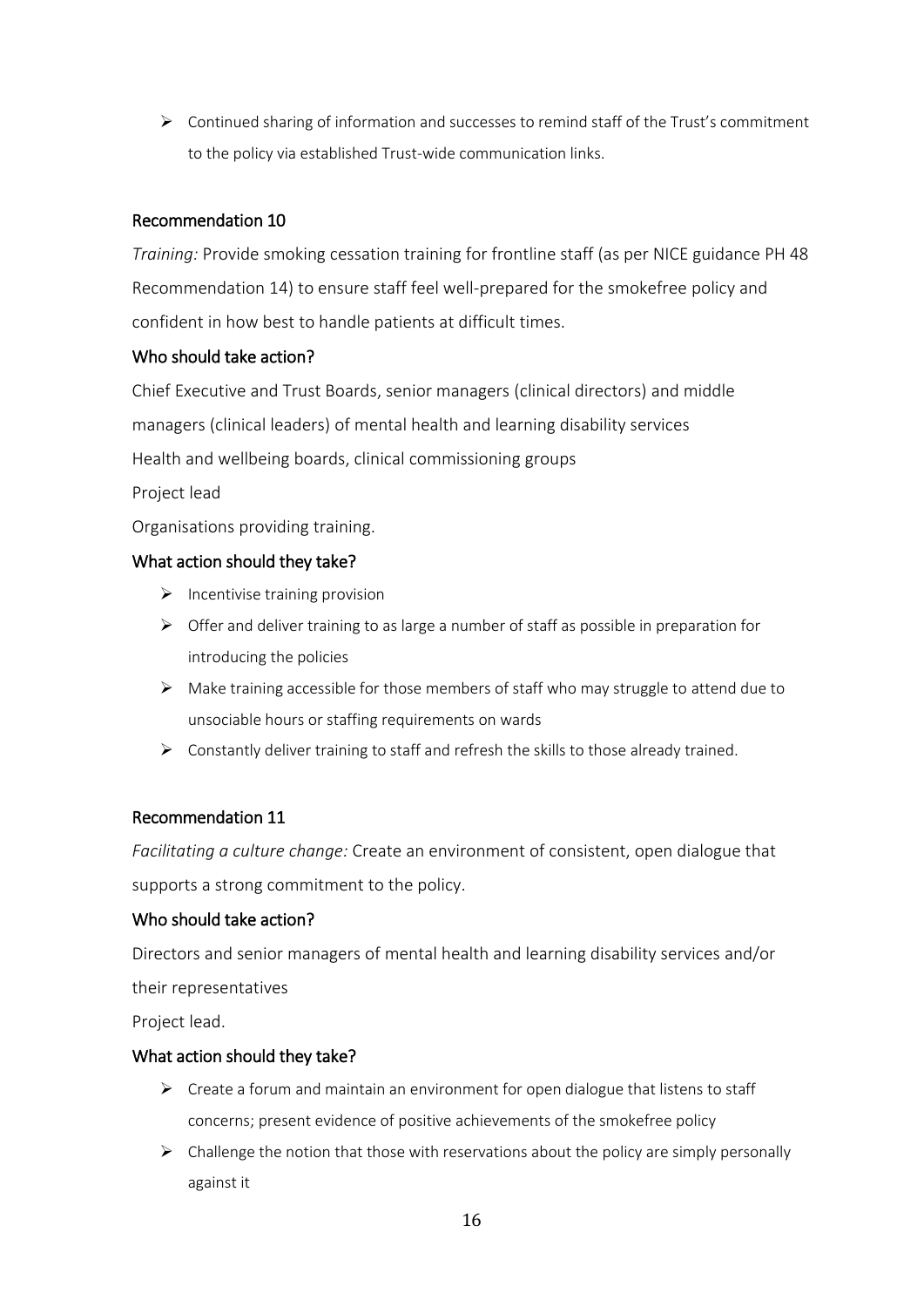➢ Continued sharing of information and successes to remind staff of the Trust's commitment to the policy via established Trust-wide communication links.

### Recommendation 10

*Training:* Provide smoking cessation training for frontline staff (as per NICE guidance PH 48 Recommendation 14) to ensure staff feel well-prepared for the smokefree policy and confident in how best to handle patients at difficult times.

#### Who should take action?

Chief Executive and Trust Boards, senior managers (clinical directors) and middle managers (clinical leaders) of mental health and learning disability services Health and wellbeing boards, clinical commissioning groups

Project lead

Organisations providing training.

#### What action should they take?

- $\triangleright$  Incentivise training provision
- $\triangleright$  Offer and deliver training to as large a number of staff as possible in preparation for introducing the policies
- $\triangleright$  Make training accessible for those members of staff who may struggle to attend due to unsociable hours or staffing requirements on wards
- ➢ Constantly deliver training to staff and refresh the skills to those already trained.

### Recommendation 11

*Facilitating a culture change:* Create an environment of consistent, open dialogue that supports a strong commitment to the policy.

#### Who should take action?

Directors and senior managers of mental health and learning disability services and/or their representatives

Project lead.

#### What action should they take?

- $\triangleright$  Create a forum and maintain an environment for open dialogue that listens to staff concerns; present evidence of positive achievements of the smokefree policy
- $\triangleright$  Challenge the notion that those with reservations about the policy are simply personally against it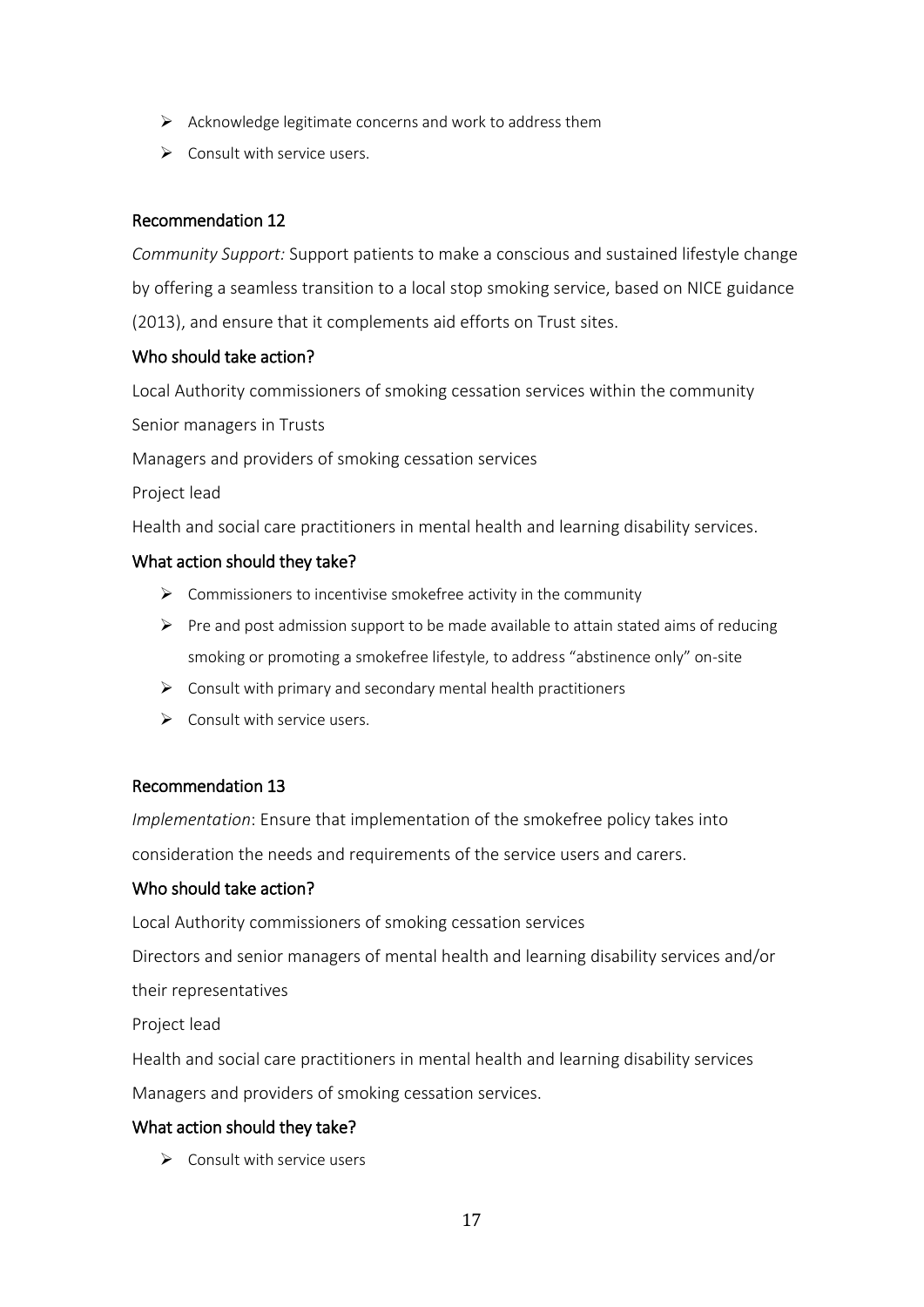- $\triangleright$  Acknowledge legitimate concerns and work to address them
- $\triangleright$  Consult with service users.

### Recommendation 12

*Community Support:* Support patients to make a conscious and sustained lifestyle change by offering a seamless transition to a local stop smoking service, based on NICE guidance (2013), and ensure that it complements aid efforts on Trust sites.

#### Who should take action?

Local Authority commissioners of smoking cessation services within the community Senior managers in Trusts

Managers and providers of smoking cessation services

Project lead

Health and social care practitioners in mental health and learning disability services.

#### What action should they take?

- $\triangleright$  Commissioners to incentivise smokefree activity in the community
- $\triangleright$  Pre and post admission support to be made available to attain stated aims of reducing smoking or promoting a smokefree lifestyle, to address "abstinence only" on-site
- $\triangleright$  Consult with primary and secondary mental health practitioners
- $\triangleright$  Consult with service users.

#### Recommendation 13

*Implementation*: Ensure that implementation of the smokefree policy takes into consideration the needs and requirements of the service users and carers.

#### Who should take action?

Local Authority commissioners of smoking cessation services Directors and senior managers of mental health and learning disability services and/or their representatives

Project lead

Health and social care practitioners in mental health and learning disability services Managers and providers of smoking cessation services.

### What action should they take?

 $\triangleright$  Consult with service users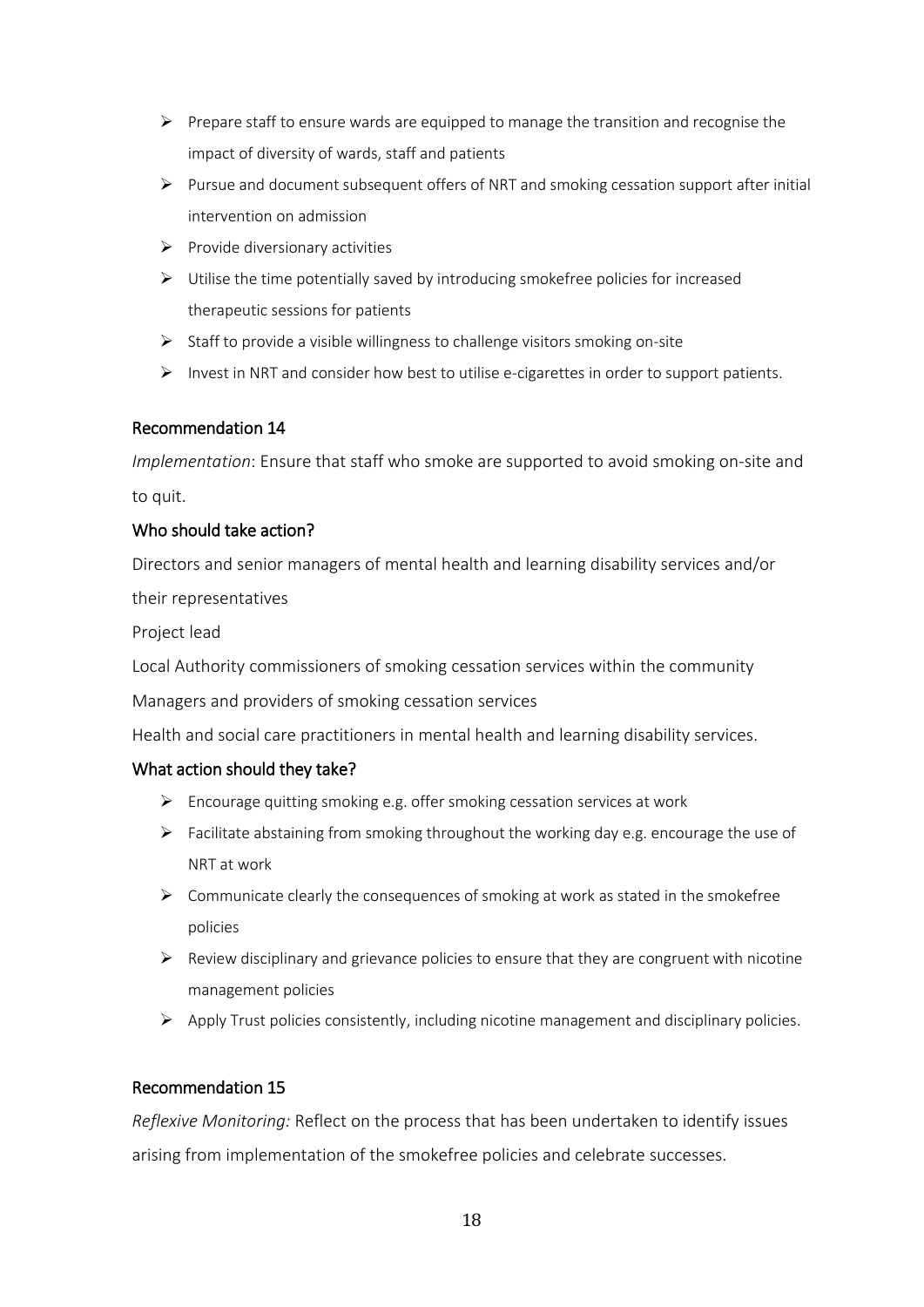- $\triangleright$  Prepare staff to ensure wards are equipped to manage the transition and recognise the impact of diversity of wards, staff and patients
- ➢ Pursue and document subsequent offers of NRT and smoking cessation support after initial intervention on admission
- $\triangleright$  Provide diversionary activities
- ➢ Utilise the time potentially saved by introducing smokefree policies for increased therapeutic sessions for patients
- ➢ Staff to provide a visible willingness to challenge visitors smoking on-site
- $\triangleright$  Invest in NRT and consider how best to utilise e-cigarettes in order to support patients.

#### Recommendation 14

*Implementation*: Ensure that staff who smoke are supported to avoid smoking on-site and to quit.

#### Who should take action?

Directors and senior managers of mental health and learning disability services and/or their representatives

Project lead

Local Authority commissioners of smoking cessation services within the community

Managers and providers of smoking cessation services

Health and social care practitioners in mental health and learning disability services.

#### What action should they take?

- ➢ Encourage quitting smoking e.g. offer smoking cessation services at work
- $\triangleright$  Facilitate abstaining from smoking throughout the working day e.g. encourage the use of NRT at work
- $\triangleright$  Communicate clearly the consequences of smoking at work as stated in the smokefree policies
- ➢ Review disciplinary and grievance policies to ensure that they are congruent with nicotine management policies
- ➢ Apply Trust policies consistently, including nicotine management and disciplinary policies.

### Recommendation 15

*Reflexive Monitoring:* Reflect on the process that has been undertaken to identify issues arising from implementation of the smokefree policies and celebrate successes.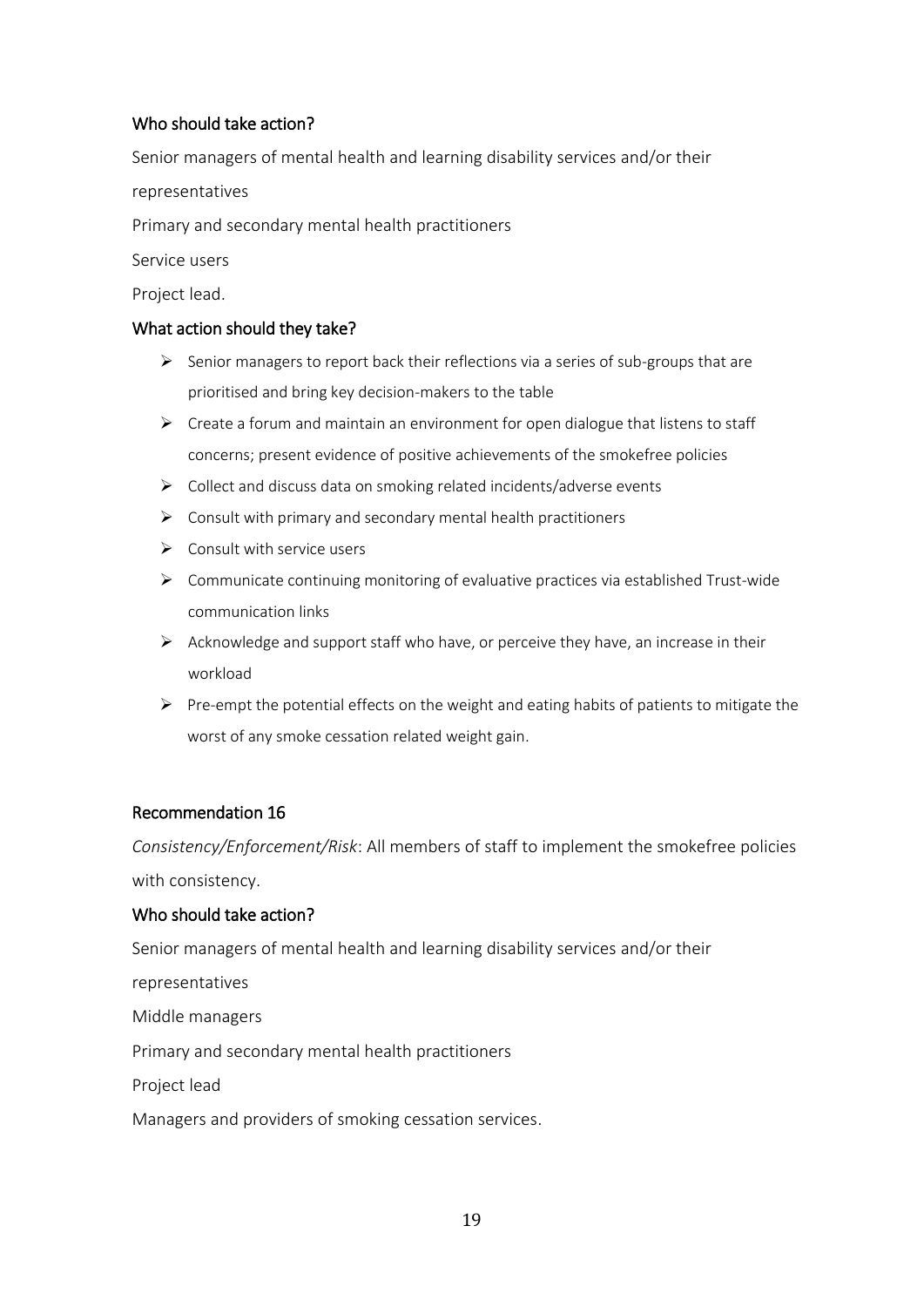### Who should take action?

Senior managers of mental health and learning disability services and/or their

representatives

Primary and secondary mental health practitioners

Service users

Project lead.

#### What action should they take?

- $\triangleright$  Senior managers to report back their reflections via a series of sub-groups that are prioritised and bring key decision-makers to the table
- $\triangleright$  Create a forum and maintain an environment for open dialogue that listens to staff concerns; present evidence of positive achievements of the smokefree policies
- ➢ Collect and discuss data on smoking related incidents/adverse events
- $\triangleright$  Consult with primary and secondary mental health practitioners
- $\triangleright$  Consult with service users
- $\triangleright$  Communicate continuing monitoring of evaluative practices via established Trust-wide communication links
- $\triangleright$  Acknowledge and support staff who have, or perceive they have, an increase in their workload
- $\triangleright$  Pre-empt the potential effects on the weight and eating habits of patients to mitigate the worst of any smoke cessation related weight gain.

### Recommendation 16

*Consistency/Enforcement/Risk*: All members of staff to implement the smokefree policies with consistency.

### Who should take action?

Senior managers of mental health and learning disability services and/or their

representatives

Middle managers

Primary and secondary mental health practitioners

Project lead

Managers and providers of smoking cessation services.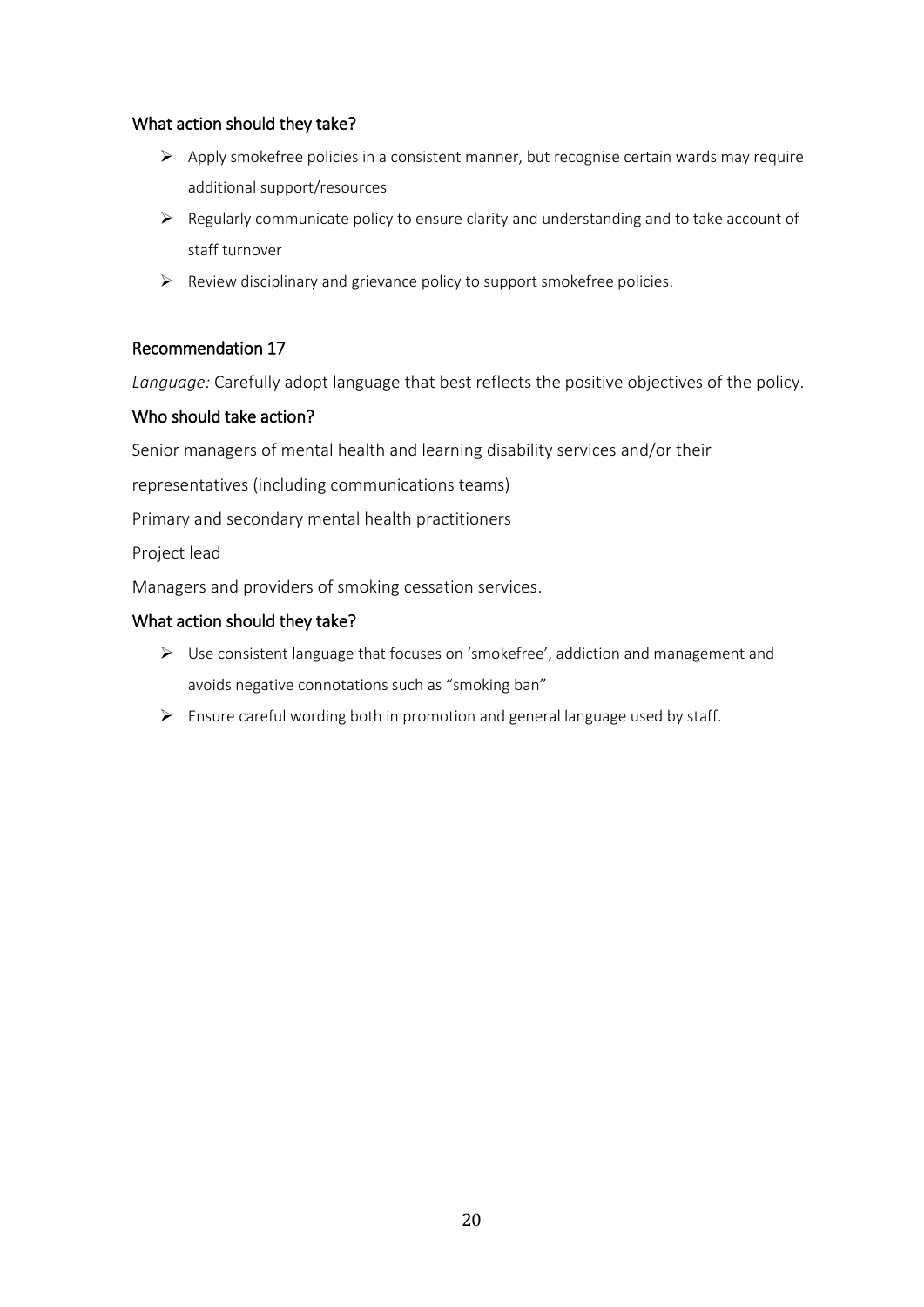#### What action should they take?

- $\triangleright$  Apply smokefree policies in a consistent manner, but recognise certain wards may require additional support/resources
- ➢ Regularly communicate policy to ensure clarity and understanding and to take account of staff turnover
- $\triangleright$  Review disciplinary and grievance policy to support smokefree policies.

#### Recommendation 17

*Language:* Carefully adopt language that best reflects the positive objectives of the policy.

#### Who should take action?

Senior managers of mental health and learning disability services and/or their

representatives (including communications teams)

Primary and secondary mental health practitioners

Project lead

Managers and providers of smoking cessation services.

#### What action should they take?

- ➢ Use consistent language that focuses on 'smokefree', addiction and management and avoids negative connotations such as "smoking ban"
- ➢ Ensure careful wording both in promotion and general language used by staff.